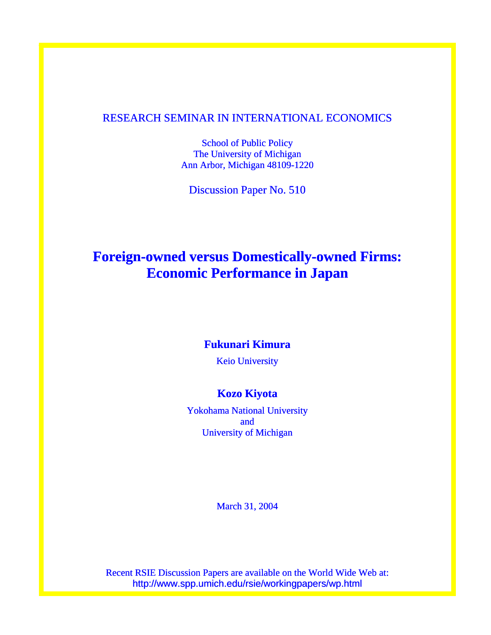#### RESEARCH SEMINAR IN INTERNATIONAL ECONOMICS

School of Public Policy The University of Michigan Ann Arbor, Michigan 48109-1220

Discussion Paper No. 510

## **Foreign-owned versus Domestically-owned Firms: Economic Performance in Japan**

#### **Fukunari Kimura**

Keio University

### **Kozo Kiyota**

Yokohama National University and University of Michigan

March 31, 2004

Recent RSIE Discussion Papers are available on the World Wide Web at: http://www.spp.umich.edu/rsie/workingpapers/wp.html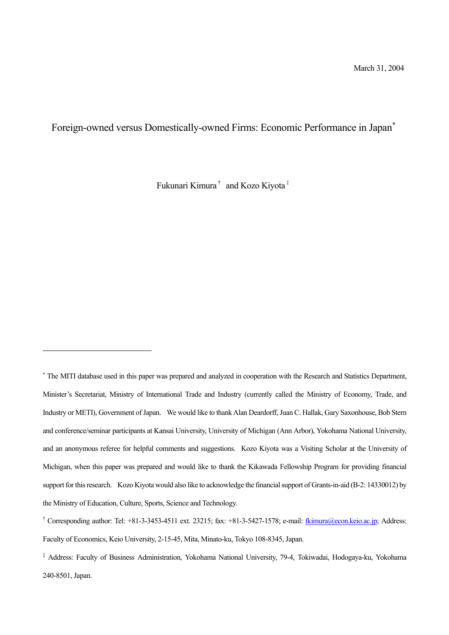### Foreign-owned versus Domestically-owned Firms: Economic Performance in Japan<sup>∗</sup>

Fukunari Kimura† and Kozo Kiyota‡

 $\overline{a}$ 

<sup>∗</sup> The MITI database used in this paper was prepared and analyzed in cooperation with the Research and Statistics Department, Minister's Secretariat, Ministry of International Trade and Industry (currently called the Ministry of Economy, Trade, and Industry or METI), Government of Japan. We would like to thank Alan Deardorff, Juan C. Hallak, Gary Saxonhouse, Bob Stern and conference/seminar participants at Kansai University, University of Michigan (Ann Arbor), Yokohama National University, and an anonymous referee for helpful comments and suggestions. Kozo Kiyota was a Visiting Scholar at the University of Michigan, when this paper was prepared and would like to thank the Kikawada Fellowship Program for providing financial support for this research. Kozo Kiyota would also like to acknowledge the financial support of Grants-in-aid (B-2: 14330012) by the Ministry of Education, Culture, Sports, Science and Technology.

<sup>&</sup>lt;sup>†</sup> Corresponding author: Tel: +81-3-3453-4511 ext. 23215; fax: +81-3-5427-1578; e-mail:  $\frac{f}{kimuma}$ @econ.keio.ac.jp; Address: Faculty of Economics, Keio University, 2-15-45, Mita, Minato-ku, Tokyo 108-8345, Japan.

á Address: Faculty of Business Administration, Yokohama National University, 79-4, Tokiwadai, Hodogaya-ku, Yokohama 240-8501, Japan.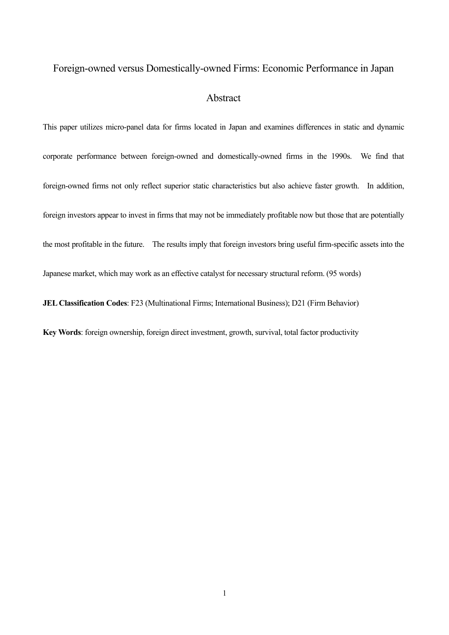# Foreign-owned versus Domestically-owned Firms: Economic Performance in Japan Abstract

This paper utilizes micro-panel data for firms located in Japan and examines differences in static and dynamic corporate performance between foreign-owned and domestically-owned firms in the 1990s. We find that foreign-owned firms not only reflect superior static characteristics but also achieve faster growth. In addition, foreign investors appear to invest in firms that may not be immediately profitable now but those that are potentially the most profitable in the future. The results imply that foreign investors bring useful firm-specific assets into the Japanese market, which may work as an effective catalyst for necessary structural reform. (95 words) **JEL Classification Codes**: F23 (Multinational Firms; International Business); D21 (Firm Behavior)

**Key Words**: foreign ownership, foreign direct investment, growth, survival, total factor productivity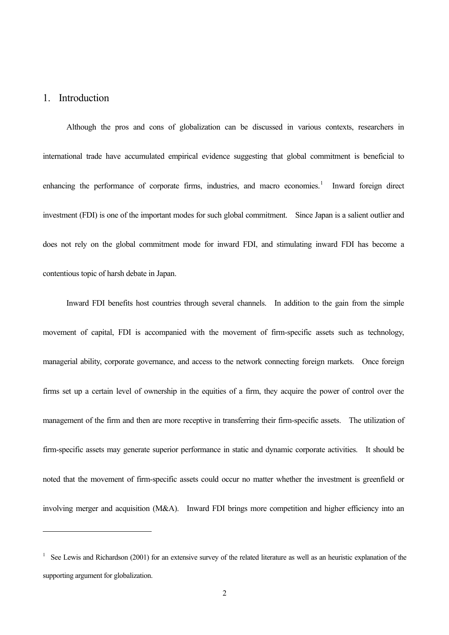#### 1. Introduction

 $\overline{a}$ 

Although the pros and cons of globalization can be discussed in various contexts, researchers in international trade have accumulated empirical evidence suggesting that global commitment is beneficial to enhancing the performance of corporate firms, industries, and macro economies.<sup>1</sup> Inward foreign direct investment (FDI) is one of the important modes for such global commitment. Since Japan is a salient outlier and does not rely on the global commitment mode for inward FDI, and stimulating inward FDI has become a contentious topic of harsh debate in Japan.

Inward FDI benefits host countries through several channels. In addition to the gain from the simple movement of capital, FDI is accompanied with the movement of firm-specific assets such as technology, managerial ability, corporate governance, and access to the network connecting foreign markets. Once foreign firms set up a certain level of ownership in the equities of a firm, they acquire the power of control over the management of the firm and then are more receptive in transferring their firm-specific assets. The utilization of firm-specific assets may generate superior performance in static and dynamic corporate activities. It should be noted that the movement of firm-specific assets could occur no matter whether the investment is greenfield or involving merger and acquisition (M&A). Inward FDI brings more competition and higher efficiency into an

<sup>&</sup>lt;sup>1</sup> See Lewis and Richardson (2001) for an extensive survey of the related literature as well as an heuristic explanation of the supporting argument for globalization.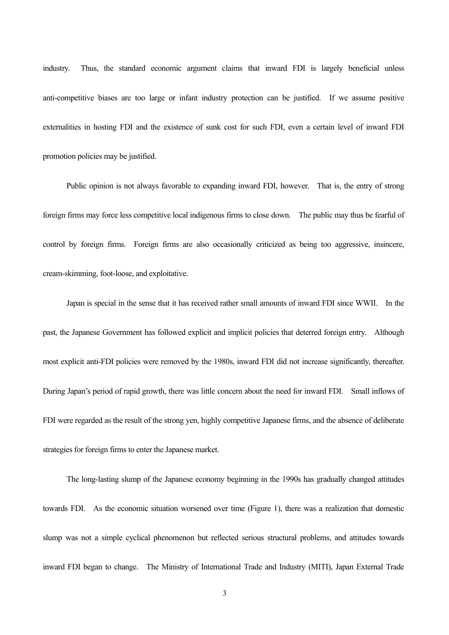industry. Thus, the standard economic argument claims that inward FDI is largely beneficial unless anti-competitive biases are too large or infant industry protection can be justified. If we assume positive externalities in hosting FDI and the existence of sunk cost for such FDI, even a certain level of inward FDI promotion policies may be justified.

Public opinion is not always favorable to expanding inward FDI, however. That is, the entry of strong foreign firms may force less competitive local indigenous firms to close down. The public may thus be fearful of control by foreign firms. Foreign firms are also occasionally criticized as being too aggressive, insincere, cream-skimming, foot-loose, and exploitative.

Japan is special in the sense that it has received rather small amounts of inward FDI since WWII. In the past, the Japanese Government has followed explicit and implicit policies that deterred foreign entry. Although most explicit anti-FDI policies were removed by the 1980s, inward FDI did not increase significantly, thereafter. During Japanís period of rapid growth, there was little concern about the need for inward FDI. Small inflows of FDI were regarded as the result of the strong yen, highly competitive Japanese firms, and the absence of deliberate strategies for foreign firms to enter the Japanese market.

The long-lasting slump of the Japanese economy beginning in the 1990s has gradually changed attitudes towards FDI. As the economic situation worsened over time (Figure 1), there was a realization that domestic slump was not a simple cyclical phenomenon but reflected serious structural problems, and attitudes towards inward FDI began to change. The Ministry of International Trade and Industry (MITI), Japan External Trade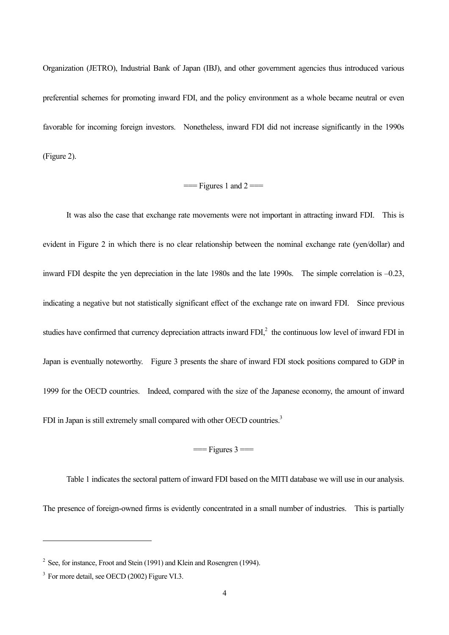Organization (JETRO), Industrial Bank of Japan (IBJ), and other government agencies thus introduced various preferential schemes for promoting inward FDI, and the policy environment as a whole became neutral or even favorable for incoming foreign investors. Nonetheless, inward FDI did not increase significantly in the 1990s (Figure 2).

#### $==$  Figures 1 and 2 $==$

It was also the case that exchange rate movements were not important in attracting inward FDI. This is evident in Figure 2 in which there is no clear relationship between the nominal exchange rate (yen/dollar) and inward FDI despite the yen depreciation in the late 1980s and the late 1990s. The simple correlation is  $-0.23$ , indicating a negative but not statistically significant effect of the exchange rate on inward FDI. Since previous studies have confirmed that currency depreciation attracts inward  $FDI<sub>i</sub><sup>2</sup>$  the continuous low level of inward  $FDI$  in Japan is eventually noteworthy. Figure 3 presents the share of inward FDI stock positions compared to GDP in 1999 for the OECD countries. Indeed, compared with the size of the Japanese economy, the amount of inward FDI in Japan is still extremely small compared with other OECD countries.<sup>3</sup>

#### $=$  Figures  $3 =$

Table 1 indicates the sectoral pattern of inward FDI based on the MITI database we will use in our analysis. The presence of foreign-owned firms is evidently concentrated in a small number of industries. This is partially

 $\overline{a}$ 

<sup>&</sup>lt;sup>2</sup> See, for instance, Froot and Stein (1991) and Klein and Rosengren (1994).

<sup>&</sup>lt;sup>3</sup> For more detail, see OECD (2002) Figure VI.3.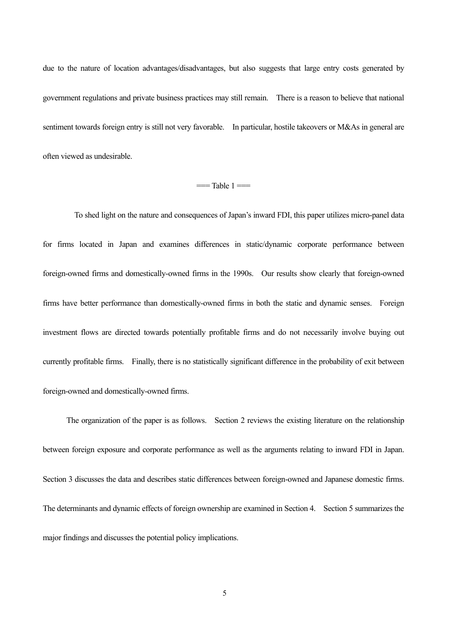due to the nature of location advantages/disadvantages, but also suggests that large entry costs generated by government regulations and private business practices may still remain. There is a reason to believe that national sentiment towards foreign entry is still not very favorable. In particular, hostile takeovers or M&As in general are often viewed as undesirable.

#### $==$ Table  $1 ==$

To shed light on the nature and consequences of Japan's inward FDI, this paper utilizes micro-panel data for firms located in Japan and examines differences in static/dynamic corporate performance between foreign-owned firms and domestically-owned firms in the 1990s. Our results show clearly that foreign-owned firms have better performance than domestically-owned firms in both the static and dynamic senses. Foreign investment flows are directed towards potentially profitable firms and do not necessarily involve buying out currently profitable firms. Finally, there is no statistically significant difference in the probability of exit between foreign-owned and domestically-owned firms.

The organization of the paper is as follows. Section 2 reviews the existing literature on the relationship between foreign exposure and corporate performance as well as the arguments relating to inward FDI in Japan. Section 3 discusses the data and describes static differences between foreign-owned and Japanese domestic firms. The determinants and dynamic effects of foreign ownership are examined in Section 4. Section 5 summarizes the major findings and discusses the potential policy implications.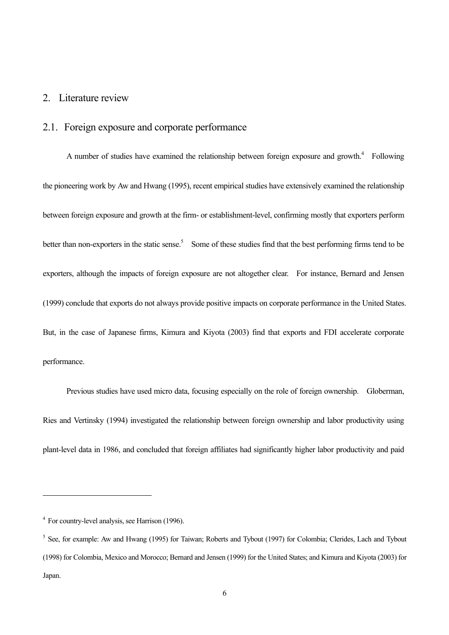### 2. Literature review

#### 2.1. Foreign exposure and corporate performance

A number of studies have examined the relationship between foreign exposure and growth. $4$  Following the pioneering work by Aw and Hwang (1995), recent empirical studies have extensively examined the relationship between foreign exposure and growth at the firm- or establishment-level, confirming mostly that exporters perform better than non-exporters in the static sense.<sup>5</sup> Some of these studies find that the best performing firms tend to be exporters, although the impacts of foreign exposure are not altogether clear. For instance, Bernard and Jensen (1999) conclude that exports do not always provide positive impacts on corporate performance in the United States. But, in the case of Japanese firms, Kimura and Kiyota (2003) find that exports and FDI accelerate corporate performance.

Previous studies have used micro data, focusing especially on the role of foreign ownership. Globerman, Ries and Vertinsky (1994) investigated the relationship between foreign ownership and labor productivity using plant-level data in 1986, and concluded that foreign affiliates had significantly higher labor productivity and paid

 $\overline{a}$ 

<sup>&</sup>lt;sup>4</sup> For country-level analysis, see Harrison (1996).

<sup>&</sup>lt;sup>5</sup> See, for example: Aw and Hwang (1995) for Taiwan; Roberts and Tybout (1997) for Colombia; Clerides, Lach and Tybout (1998) for Colombia, Mexico and Morocco; Bernard and Jensen (1999) for the United States; and Kimura and Kiyota (2003) for Japan.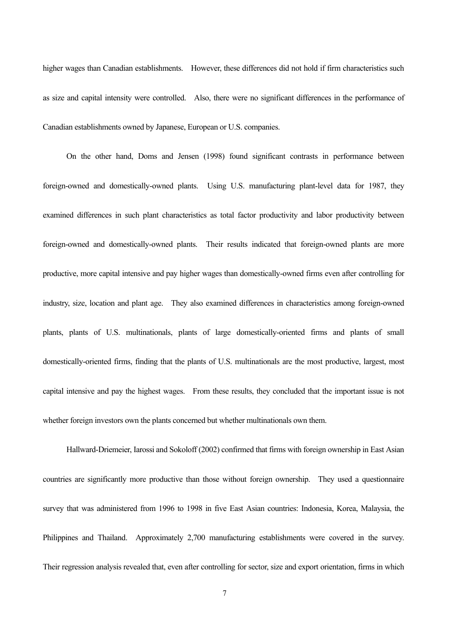higher wages than Canadian establishments. However, these differences did not hold if firm characteristics such as size and capital intensity were controlled. Also, there were no significant differences in the performance of Canadian establishments owned by Japanese, European or U.S. companies.

On the other hand, Doms and Jensen (1998) found significant contrasts in performance between foreign-owned and domestically-owned plants. Using U.S. manufacturing plant-level data for 1987, they examined differences in such plant characteristics as total factor productivity and labor productivity between foreign-owned and domestically-owned plants. Their results indicated that foreign-owned plants are more productive, more capital intensive and pay higher wages than domestically-owned firms even after controlling for industry, size, location and plant age. They also examined differences in characteristics among foreign-owned plants, plants of U.S. multinationals, plants of large domestically-oriented firms and plants of small domestically-oriented firms, finding that the plants of U.S. multinationals are the most productive, largest, most capital intensive and pay the highest wages. From these results, they concluded that the important issue is not whether foreign investors own the plants concerned but whether multinationals own them.

Hallward-Driemeier, Iarossi and Sokoloff (2002) confirmed that firms with foreign ownership in East Asian countries are significantly more productive than those without foreign ownership. They used a questionnaire survey that was administered from 1996 to 1998 in five East Asian countries: Indonesia, Korea, Malaysia, the Philippines and Thailand. Approximately 2,700 manufacturing establishments were covered in the survey. Their regression analysis revealed that, even after controlling for sector, size and export orientation, firms in which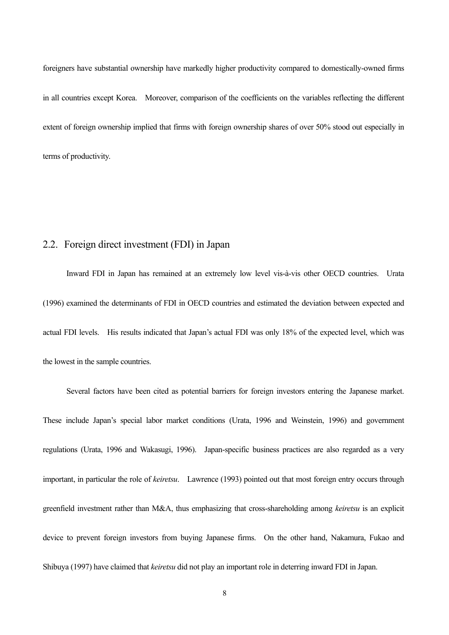foreigners have substantial ownership have markedly higher productivity compared to domestically-owned firms in all countries except Korea. Moreover, comparison of the coefficients on the variables reflecting the different extent of foreign ownership implied that firms with foreign ownership shares of over 50% stood out especially in terms of productivity.

### 2.2. Foreign direct investment (FDI) in Japan

Inward FDI in Japan has remained at an extremely low level vis-à-vis other OECD countries. Urata (1996) examined the determinants of FDI in OECD countries and estimated the deviation between expected and actual FDI levels. His results indicated that Japan's actual FDI was only 18% of the expected level, which was the lowest in the sample countries.

Several factors have been cited as potential barriers for foreign investors entering the Japanese market. These include Japan's special labor market conditions (Urata, 1996 and Weinstein, 1996) and government regulations (Urata, 1996 and Wakasugi, 1996). Japan-specific business practices are also regarded as a very important, in particular the role of *keiretsu*. Lawrence (1993) pointed out that most foreign entry occurs through greenfield investment rather than M&A, thus emphasizing that cross-shareholding among *keiretsu* is an explicit device to prevent foreign investors from buying Japanese firms. On the other hand, Nakamura, Fukao and Shibuya (1997) have claimed that *keiretsu* did not play an important role in deterring inward FDI in Japan.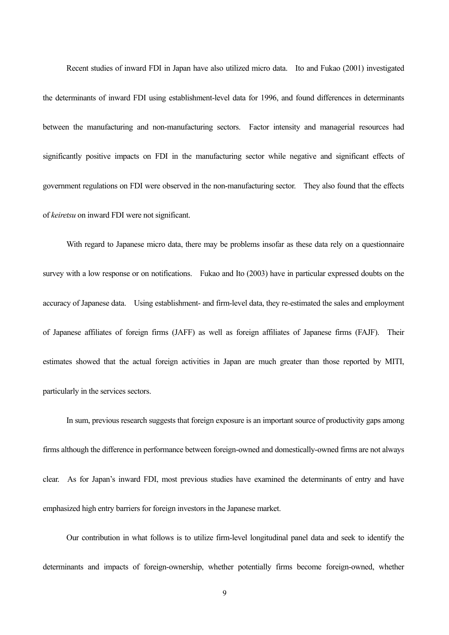Recent studies of inward FDI in Japan have also utilized micro data. Ito and Fukao (2001) investigated the determinants of inward FDI using establishment-level data for 1996, and found differences in determinants between the manufacturing and non-manufacturing sectors. Factor intensity and managerial resources had significantly positive impacts on FDI in the manufacturing sector while negative and significant effects of government regulations on FDI were observed in the non-manufacturing sector. They also found that the effects of *keiretsu* on inward FDI were not significant.

With regard to Japanese micro data, there may be problems insofar as these data rely on a questionnaire survey with a low response or on notifications. Fukao and Ito (2003) have in particular expressed doubts on the accuracy of Japanese data. Using establishment- and firm-level data, they re-estimated the sales and employment of Japanese affiliates of foreign firms (JAFF) as well as foreign affiliates of Japanese firms (FAJF). Their estimates showed that the actual foreign activities in Japan are much greater than those reported by MITI, particularly in the services sectors.

In sum, previous research suggests that foreign exposure is an important source of productivity gaps among firms although the difference in performance between foreign-owned and domestically-owned firms are not always clear. As for Japan's inward FDI, most previous studies have examined the determinants of entry and have emphasized high entry barriers for foreign investors in the Japanese market.

Our contribution in what follows is to utilize firm-level longitudinal panel data and seek to identify the determinants and impacts of foreign-ownership, whether potentially firms become foreign-owned, whether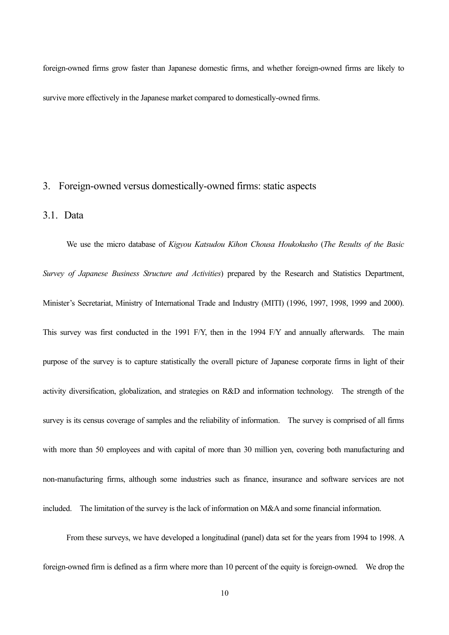foreign-owned firms grow faster than Japanese domestic firms, and whether foreign-owned firms are likely to survive more effectively in the Japanese market compared to domestically-owned firms.

#### 3. Foreign-owned versus domestically-owned firms: static aspects

#### 3.1. Data

We use the micro database of *Kigyou Katsudou Kihon Chousa Houkokusho* (*The Results of the Basic Survey of Japanese Business Structure and Activities*) prepared by the Research and Statistics Department, Minister's Secretariat, Ministry of International Trade and Industry (MITI) (1996, 1997, 1998, 1999 and 2000). This survey was first conducted in the 1991 F/Y, then in the 1994 F/Y and annually afterwards. The main purpose of the survey is to capture statistically the overall picture of Japanese corporate firms in light of their activity diversification, globalization, and strategies on R&D and information technology. The strength of the survey is its census coverage of samples and the reliability of information. The survey is comprised of all firms with more than 50 employees and with capital of more than 30 million yen, covering both manufacturing and non-manufacturing firms, although some industries such as finance, insurance and software services are not included. The limitation of the survey is the lack of information on M&A and some financial information.

From these surveys, we have developed a longitudinal (panel) data set for the years from 1994 to 1998. A foreign-owned firm is defined as a firm where more than 10 percent of the equity is foreign-owned. We drop the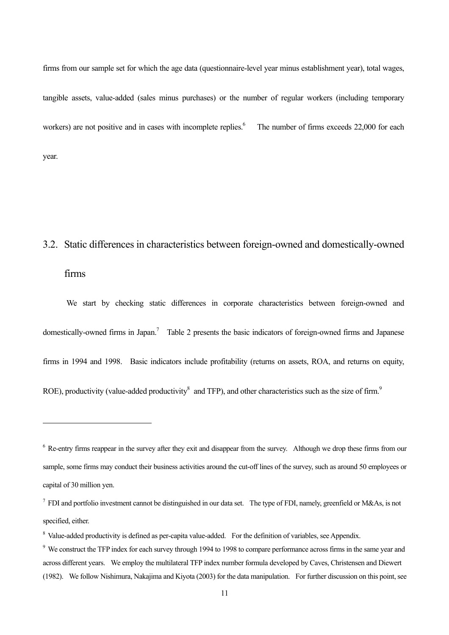firms from our sample set for which the age data (questionnaire-level year minus establishment year), total wages, tangible assets, value-added (sales minus purchases) or the number of regular workers (including temporary workers) are not positive and in cases with incomplete replies.<sup>6</sup> The number of firms exceeds 22,000 for each year.

### 3.2. Static differences in characteristics between foreign-owned and domestically-owned

firms

 $\overline{a}$ 

We start by checking static differences in corporate characteristics between foreign-owned and domestically-owned firms in Japan.<sup>7</sup> Table 2 presents the basic indicators of foreign-owned firms and Japanese firms in 1994 and 1998. Basic indicators include profitability (returns on assets, ROA, and returns on equity, ROE), productivity (value-added productivity<sup>8</sup> and TFP), and other characteristics such as the size of firm.<sup>9</sup>

<sup>&</sup>lt;sup>6</sup> Re-entry firms reappear in the survey after they exit and disappear from the survey. Although we drop these firms from our sample, some firms may conduct their business activities around the cut-off lines of the survey, such as around 50 employees or capital of 30 million yen.

<sup>&</sup>lt;sup>7</sup> FDI and portfolio investment cannot be distinguished in our data set. The type of FDI, namely, greenfield or M&As, is not specified, either.

<sup>&</sup>lt;sup>8</sup> Value-added productivity is defined as per-capita value-added. For the definition of variables, see Appendix.

<sup>&</sup>lt;sup>9</sup> We construct the TFP index for each survey through 1994 to 1998 to compare performance across firms in the same year and across different years. We employ the multilateral TFP index number formula developed by Caves, Christensen and Diewert (1982). We follow Nishimura, Nakajima and Kiyota (2003) for the data manipulation. For further discussion on this point, see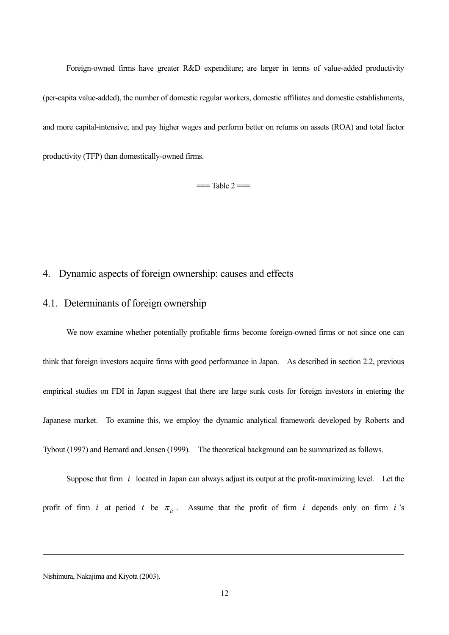Foreign-owned firms have greater R&D expenditure; are larger in terms of value-added productivity (per-capita value-added), the number of domestic regular workers, domestic affiliates and domestic establishments, and more capital-intensive; and pay higher wages and perform better on returns on assets (ROA) and total factor productivity (TFP) than domestically-owned firms.

 $=$ Table 2 $=$ 

#### 4. Dynamic aspects of foreign ownership: causes and effects

### 4.1. Determinants of foreign ownership

We now examine whether potentially profitable firms become foreign-owned firms or not since one can think that foreign investors acquire firms with good performance in Japan. As described in section 2.2, previous empirical studies on FDI in Japan suggest that there are large sunk costs for foreign investors in entering the Japanese market. To examine this, we employ the dynamic analytical framework developed by Roberts and Tybout (1997) and Bernard and Jensen (1999). The theoretical background can be summarized as follows.

Suppose that firm *i* located in Japan can always adjust its output at the profit-maximizing level. Let the profit of firm *i* at period *t* be  $\pi_{ii}$ . Assume that the profit of firm *i* depends only on firm *i* 's

Nishimura, Nakajima and Kiyota (2003).

 $\overline{a}$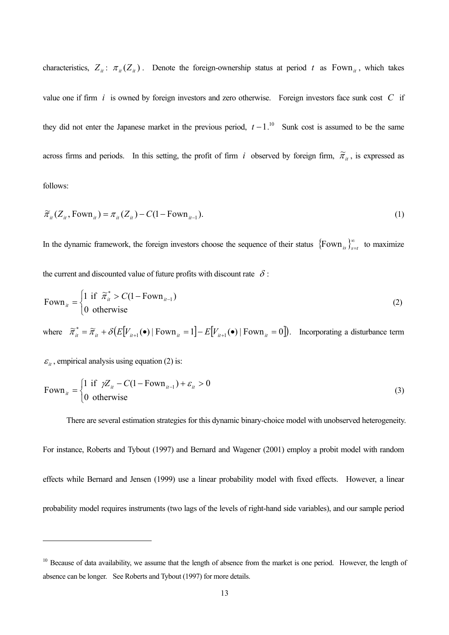characteristics,  $Z_{it}$ :  $\pi_{it}(Z_{it})$ . Denote the foreign-ownership status at period *t* as Fown<sub>*it*</sub>, which takes value one if firm *i* is owned by foreign investors and zero otherwise. Foreign investors face sunk cost *C* if they did not enter the Japanese market in the previous period,  $t - 1$ .<sup>10</sup> Sunk cost is assumed to be the same across firms and periods. In this setting, the profit of firm *i* observed by foreign firm,  $\tilde{\pi}_{it}$ , is expressed as follows:

$$
\widetilde{\pi}_{ii}(Z_{ii}, \text{Fown}_{ii}) = \pi_{ii}(Z_{ii}) - C(1 - \text{Fown}_{ii-1}).
$$
\n(1)

In the dynamic framework, the foreign investors choose the sequence of their status  $\{\text{Fown}_{s}\}_{s=t}^{\infty}$  to maximize the current and discounted value of future profits with discount rate  $\delta$ :

$$
Fown_{it} = \begin{cases} 1 \text{ if } \tilde{\pi}_{it}^{*} > C(1 - Fown_{it-1}) \\ 0 \text{ otherwise} \end{cases}
$$
 (2)

where  $\tilde{\pi}_{ii}^* = \tilde{\pi}_{ii} + \delta \left( E[V_{ii+1}(\bullet) \mid \text{Fown}_{ii} = 1 \right] - E[V_{ii+1}(\bullet) \mid \text{Fown}_{ii} = 0]$ . Incorporating a disturbance term

 $\varepsilon_{it}$ , empirical analysis using equation (2) is:

 $\overline{a}$ 

$$
Fown_{it} = \begin{cases} 1 \text{ if } \gamma Z_{it} - C(1 - Fown_{it-1}) + \varepsilon_{it} > 0 \\ 0 \text{ otherwise} \end{cases}
$$
 (3)

There are several estimation strategies for this dynamic binary-choice model with unobserved heterogeneity.

For instance, Roberts and Tybout (1997) and Bernard and Wagener (2001) employ a probit model with random effects while Bernard and Jensen (1999) use a linear probability model with fixed effects. However, a linear probability model requires instruments (two lags of the levels of right-hand side variables), and our sample period

<sup>&</sup>lt;sup>10</sup> Because of data availability, we assume that the length of absence from the market is one period. However, the length of absence can be longer. See Roberts and Tybout (1997) for more details.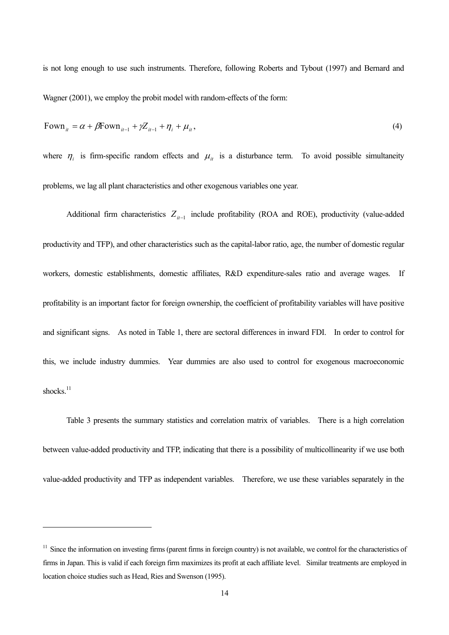is not long enough to use such instruments. Therefore, following Roberts and Tybout (1997) and Bernard and Wagner (2001), we employ the probit model with random-effects of the form:

$$
Fown_{it} = \alpha + \beta Fown_{it-1} + \gamma Z_{it-1} + \eta_i + \mu_i,
$$
\n<sup>(4)</sup>

where  $\eta_i$  is firm-specific random effects and  $\mu_i$  is a disturbance term. To avoid possible simultaneity problems, we lag all plant characteristics and other exogenous variables one year.

Additional firm characteristics  $Z_{it-1}$  include profitability (ROA and ROE), productivity (value-added productivity and TFP), and other characteristics such as the capital-labor ratio, age, the number of domestic regular workers, domestic establishments, domestic affiliates, R&D expenditure-sales ratio and average wages. If profitability is an important factor for foreign ownership, the coefficient of profitability variables will have positive and significant signs. As noted in Table 1, there are sectoral differences in inward FDI. In order to control for this, we include industry dummies. Year dummies are also used to control for exogenous macroeconomic shocks.<sup>11</sup>

Table 3 presents the summary statistics and correlation matrix of variables. There is a high correlation between value-added productivity and TFP, indicating that there is a possibility of multicollinearity if we use both value-added productivity and TFP as independent variables. Therefore, we use these variables separately in the

 $\overline{a}$ 

 $11$  Since the information on investing firms (parent firms in foreign country) is not available, we control for the characteristics of firms in Japan. This is valid if each foreign firm maximizes its profit at each affiliate level. Similar treatments are employed in location choice studies such as Head, Ries and Swenson (1995).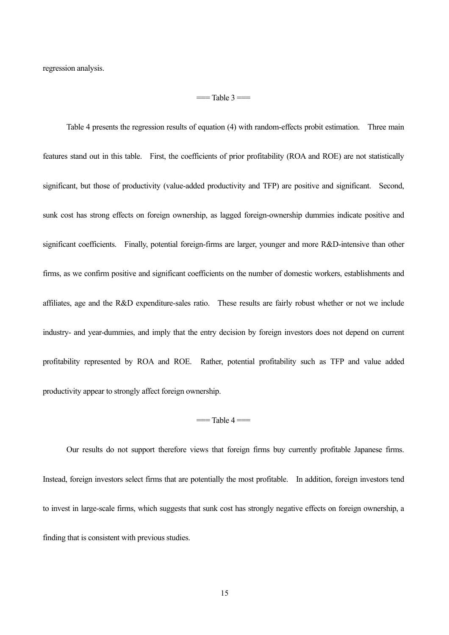regression analysis.

#### $=$ Table  $3 =$

Table 4 presents the regression results of equation (4) with random-effects probit estimation. Three main features stand out in this table. First, the coefficients of prior profitability (ROA and ROE) are not statistically significant, but those of productivity (value-added productivity and TFP) are positive and significant. Second, sunk cost has strong effects on foreign ownership, as lagged foreign-ownership dummies indicate positive and significant coefficients. Finally, potential foreign-firms are larger, younger and more R&D-intensive than other firms, as we confirm positive and significant coefficients on the number of domestic workers, establishments and affiliates, age and the R&D expenditure-sales ratio. These results are fairly robust whether or not we include industry- and year-dummies, and imply that the entry decision by foreign investors does not depend on current profitability represented by ROA and ROE. Rather, potential profitability such as TFP and value added productivity appear to strongly affect foreign ownership.

#### $==$ Table  $4 ==$

Our results do not support therefore views that foreign firms buy currently profitable Japanese firms. Instead, foreign investors select firms that are potentially the most profitable. In addition, foreign investors tend to invest in large-scale firms, which suggests that sunk cost has strongly negative effects on foreign ownership, a finding that is consistent with previous studies.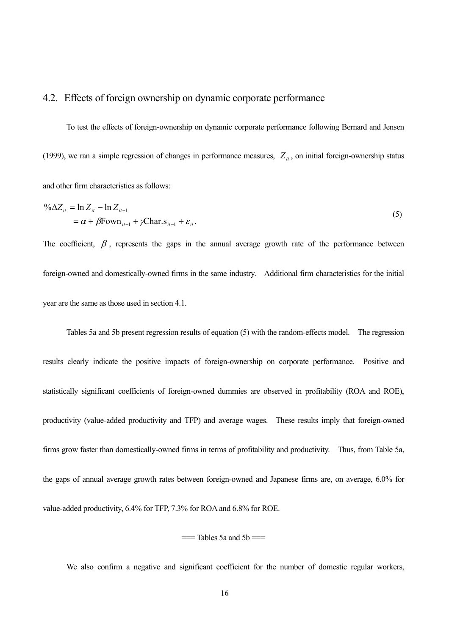#### 4.2. Effects of foreign ownership on dynamic corporate performance

To test the effects of foreign-ownership on dynamic corporate performance following Bernard and Jensen (1999), we ran a simple regression of changes in performance measures,  $Z_{it}$ , on initial foreign-ownership status and other firm characteristics as follows:

$$
\% \Delta Z_{it} = \ln Z_{it} - \ln Z_{it-1}
$$
  
=  $\alpha + \beta$  Fown<sub>it-1</sub> +  $\gamma$ Char.s<sub>it-1</sub> +  $\varepsilon_{it}$ . (5)

The coefficient,  $\beta$ , represents the gaps in the annual average growth rate of the performance between foreign-owned and domestically-owned firms in the same industry. Additional firm characteristics for the initial year are the same as those used in section 4.1.

Tables 5a and 5b present regression results of equation (5) with the random-effects model. The regression results clearly indicate the positive impacts of foreign-ownership on corporate performance. Positive and statistically significant coefficients of foreign-owned dummies are observed in profitability (ROA and ROE), productivity (value-added productivity and TFP) and average wages. These results imply that foreign-owned firms grow faster than domestically-owned firms in terms of profitability and productivity. Thus, from Table 5a, the gaps of annual average growth rates between foreign-owned and Japanese firms are, on average, 6.0% for value-added productivity, 6.4% for TFP, 7.3% for ROA and 6.8% for ROE.

 $==$ Tables 5a and 5b $==$ 

We also confirm a negative and significant coefficient for the number of domestic regular workers,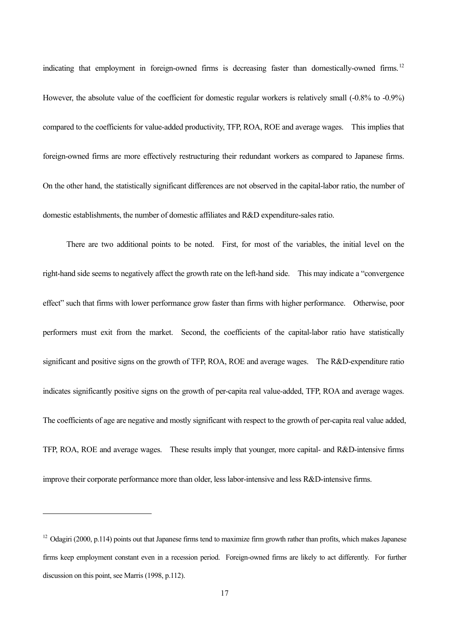indicating that employment in foreign-owned firms is decreasing faster than domestically-owned firms.<sup>12</sup> However, the absolute value of the coefficient for domestic regular workers is relatively small (-0.8% to -0.9%) compared to the coefficients for value-added productivity, TFP, ROA, ROE and average wages. This implies that foreign-owned firms are more effectively restructuring their redundant workers as compared to Japanese firms. On the other hand, the statistically significant differences are not observed in the capital-labor ratio, the number of domestic establishments, the number of domestic affiliates and R&D expenditure-sales ratio.

There are two additional points to be noted. First, for most of the variables, the initial level on the right-hand side seems to negatively affect the growth rate on the left-hand side. This may indicate a "convergence" effect" such that firms with lower performance grow faster than firms with higher performance. Otherwise, poor performers must exit from the market. Second, the coefficients of the capital-labor ratio have statistically significant and positive signs on the growth of TFP, ROA, ROE and average wages. The R&D-expenditure ratio indicates significantly positive signs on the growth of per-capita real value-added, TFP, ROA and average wages. The coefficients of age are negative and mostly significant with respect to the growth of per-capita real value added, TFP, ROA, ROE and average wages. These results imply that younger, more capital- and R&D-intensive firms improve their corporate performance more than older, less labor-intensive and less R&D-intensive firms.

 $\overline{a}$ 

 $12$  Odagiri (2000, p.114) points out that Japanese firms tend to maximize firm growth rather than profits, which makes Japanese firms keep employment constant even in a recession period. Foreign-owned firms are likely to act differently. For further discussion on this point, see Marris (1998, p.112).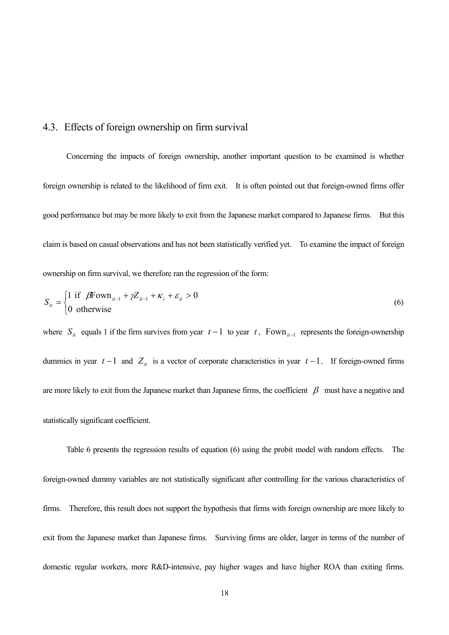### 4.3. Effects of foreign ownership on firm survival

Concerning the impacts of foreign ownership, another important question to be examined is whether foreign ownership is related to the likelihood of firm exit. It is often pointed out that foreign-owned firms offer good performance but may be more likely to exit from the Japanese market compared to Japanese firms. But this claim is based on casual observations and has not been statistically verified yet. To examine the impact of foreign ownership on firm survival, we therefore ran the regression of the form:

$$
S_{it} = \begin{cases} 1 \text{ if } \beta \text{Fown}_{it-1} + \gamma Z_{it-1} + \kappa_i + \varepsilon_{it} > 0 \\ 0 \text{ otherwise} \end{cases}
$$
 (6)

where  $S_{it}$  equals 1 if the firm survives from year  $t-1$  to year  $t$ , Fown<sub>it-1</sub> represents the foreign-ownership dummies in year  $t-1$  and  $Z_{it}$  is a vector of corporate characteristics in year  $t-1$ . If foreign-owned firms are more likely to exit from the Japanese market than Japanese firms, the coefficient  $\beta$  must have a negative and statistically significant coefficient.

Table 6 presents the regression results of equation (6) using the probit model with random effects. The foreign-owned dummy variables are not statistically significant after controlling for the various characteristics of firms. Therefore, this result does not support the hypothesis that firms with foreign ownership are more likely to exit from the Japanese market than Japanese firms. Surviving firms are older, larger in terms of the number of domestic regular workers, more R&D-intensive, pay higher wages and have higher ROA than exiting firms.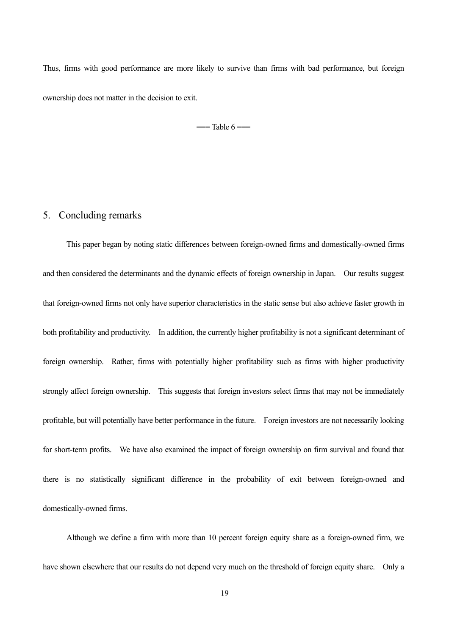Thus, firms with good performance are more likely to survive than firms with bad performance, but foreign ownership does not matter in the decision to exit.

 $=$ Table  $6 =$ 

#### 5. Concluding remarks

This paper began by noting static differences between foreign-owned firms and domestically-owned firms and then considered the determinants and the dynamic effects of foreign ownership in Japan. Our results suggest that foreign-owned firms not only have superior characteristics in the static sense but also achieve faster growth in both profitability and productivity. In addition, the currently higher profitability is not a significant determinant of foreign ownership. Rather, firms with potentially higher profitability such as firms with higher productivity strongly affect foreign ownership. This suggests that foreign investors select firms that may not be immediately profitable, but will potentially have better performance in the future. Foreign investors are not necessarily looking for short-term profits. We have also examined the impact of foreign ownership on firm survival and found that there is no statistically significant difference in the probability of exit between foreign-owned and domestically-owned firms.

Although we define a firm with more than 10 percent foreign equity share as a foreign-owned firm, we have shown elsewhere that our results do not depend very much on the threshold of foreign equity share. Only a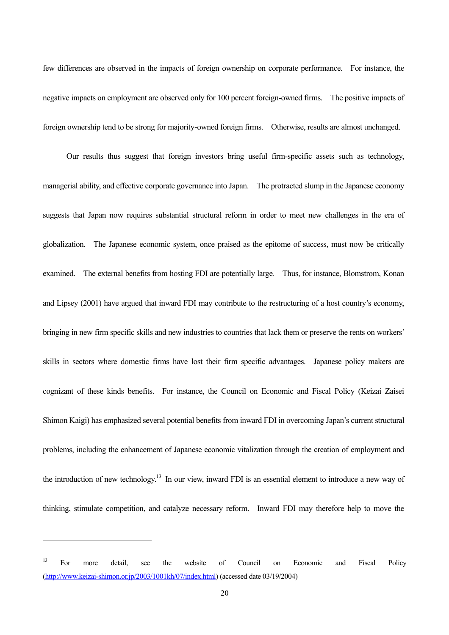few differences are observed in the impacts of foreign ownership on corporate performance. For instance, the negative impacts on employment are observed only for 100 percent foreign-owned firms. The positive impacts of foreign ownership tend to be strong for majority-owned foreign firms. Otherwise, results are almost unchanged.

Our results thus suggest that foreign investors bring useful firm-specific assets such as technology, managerial ability, and effective corporate governance into Japan. The protracted slump in the Japanese economy suggests that Japan now requires substantial structural reform in order to meet new challenges in the era of globalization. The Japanese economic system, once praised as the epitome of success, must now be critically examined. The external benefits from hosting FDI are potentially large. Thus, for instance, Blomstrom, Konan and Lipsey (2001) have argued that inward FDI may contribute to the restructuring of a host countryís economy, bringing in new firm specific skills and new industries to countries that lack them or preserve the rents on workers' skills in sectors where domestic firms have lost their firm specific advantages. Japanese policy makers are cognizant of these kinds benefits. For instance, the Council on Economic and Fiscal Policy (Keizai Zaisei Shimon Kaigi) has emphasized several potential benefits from inward FDI in overcoming Japan's current structural problems, including the enhancement of Japanese economic vitalization through the creation of employment and the introduction of new technology.13 In our view, inward FDI is an essential element to introduce a new way of thinking, stimulate competition, and catalyze necessary reform. Inward FDI may therefore help to move the

 $\overline{a}$ 

<sup>&</sup>lt;sup>13</sup> For more detail, see the website of Council on Economic and Fiscal Policy (http://www.keizai-shimon.or.jp/2003/1001kh/07/index.html) (accessed date 03/19/2004)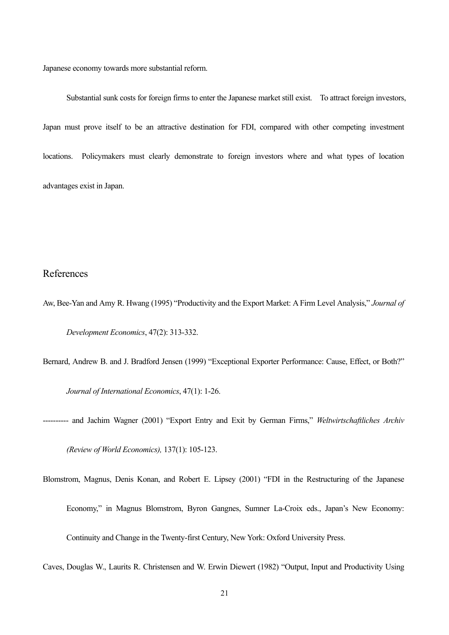Japanese economy towards more substantial reform.

Substantial sunk costs for foreign firms to enter the Japanese market still exist. To attract foreign investors, Japan must prove itself to be an attractive destination for FDI, compared with other competing investment locations. Policymakers must clearly demonstrate to foreign investors where and what types of location advantages exist in Japan.

#### References

Aw, Bee-Yan and Amy R. Hwang (1995) "Productivity and the Export Market: A Firm Level Analysis," *Journal of Development Economics*, 47(2): 313-332.

Bernard, Andrew B. and J. Bradford Jensen (1999) "Exceptional Exporter Performance: Cause, Effect, or Both?" *Journal of International Economics*, 47(1): 1-26.

- ---------- and Jachim Wagner (2001) "Export Entry and Exit by German Firms," *Weltwirtschaftliches Archiv (Review of World Economics),* 137(1): 105-123.
- Blomstrom, Magnus, Denis Konan, and Robert E. Lipsey (2001) "FDI in the Restructuring of the Japanese Economy," in Magnus Blomstrom, Byron Gangnes, Sumner La-Croix eds., Japan's New Economy: Continuity and Change in the Twenty-first Century, New York: Oxford University Press.

Caves, Douglas W., Laurits R. Christensen and W. Erwin Diewert (1982) "Output, Input and Productivity Using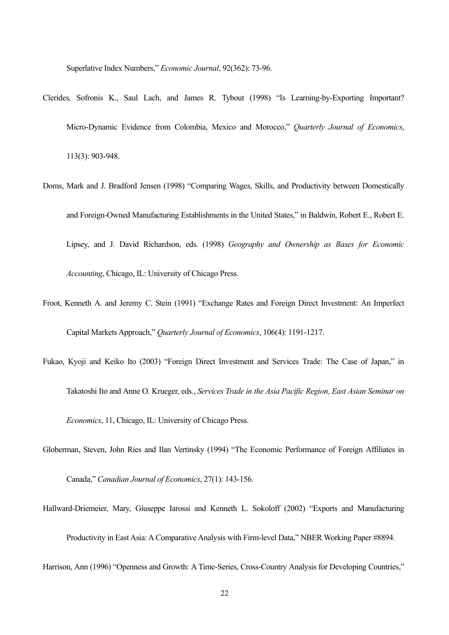Superlative Index Numbers," *Economic Journal*, 92(362): 73-96.

- Clerides, Sofronis K., Saul Lach, and James R. Tybout (1998) "Is Learning-by-Exporting Important? Micro-Dynamic Evidence from Colombia, Mexico and Morocco," *Quarterly Journal of Economics*, 113(3): 903-948.
- Doms, Mark and J. Bradford Jensen (1998) "Comparing Wages, Skills, and Productivity between Domestically and Foreign-Owned Manufacturing Establishments in the United States," in Baldwin, Robert E., Robert E. Lipsey, and J. David Richardson, eds. (1998) *Geography and Ownership as Bases for Economic Accounting*, Chicago, IL: University of Chicago Press.
- Froot, Kenneth A. and Jeremy C. Stein (1991) "Exchange Rates and Foreign Direct Investment: An Imperfect Capital Markets Approach," Quarterly Journal of Economics, 106(4): 1191-1217.
- Fukao, Kyoji and Keiko Ito (2003) "Foreign Direct Investment and Services Trade: The Case of Japan," in Takatoshi Ito and Anne O. Krueger, eds., *Services Trade in the Asia Pacific Region, East Asian Seminar on Economics*, 11, Chicago, IL: University of Chicago Press.
- Globerman, Steven, John Ries and Ilan Vertinsky (1994) "The Economic Performance of Foreign Affiliates in

Canada,î *Canadian Journal of Economics*, 27(1): 143-156.

Hallward-Driemeier, Mary, Giuseppe Iarossi and Kenneth L. Sokoloff (2002) "Exports and Manufacturing Productivity in East Asia: A Comparative Analysis with Firm-level Data," NBER Working Paper #8894.

Harrison, Ann (1996) "Openness and Growth: A Time-Series, Cross-Country Analysis for Developing Countries,"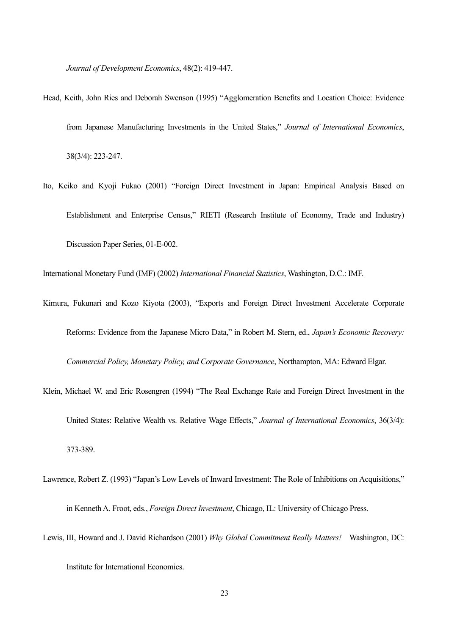*Journal of Development Economics*, 48(2): 419-447.

- Head, Keith, John Ries and Deborah Swenson (1995) "Agglomeration Benefits and Location Choice: Evidence from Japanese Manufacturing Investments in the United States," Journal of International Economics, 38(3/4): 223-247.
- Ito, Keiko and Kyoji Fukao (2001) "Foreign Direct Investment in Japan: Empirical Analysis Based on Establishment and Enterprise Census," RIETI (Research Institute of Economy, Trade and Industry) Discussion Paper Series, 01-E-002.

International Monetary Fund (IMF) (2002) *International Financial Statistics*, Washington, D.C.: IMF.

- Kimura, Fukunari and Kozo Kiyota (2003), "Exports and Foreign Direct Investment Accelerate Corporate Reforms: Evidence from the Japanese Micro Data," in Robert M. Stern, ed., *Japan's Economic Recovery*: *Commercial Policy, Monetary Policy, and Corporate Governance*, Northampton, MA: Edward Elgar.
- Klein, Michael W. and Eric Rosengren (1994) "The Real Exchange Rate and Foreign Direct Investment in the United States: Relative Wealth vs. Relative Wage Effects," Journal of International Economics, 36(3/4): 373-389.
- Lawrence, Robert Z. (1993) "Japan's Low Levels of Inward Investment: The Role of Inhibitions on Acquisitions," in Kenneth A. Froot, eds., *Foreign Direct Investment*, Chicago, IL: University of Chicago Press.
- Lewis, III, Howard and J. David Richardson (2001) *Why Global Commitment Really Matters!* Washington, DC: Institute for International Economics.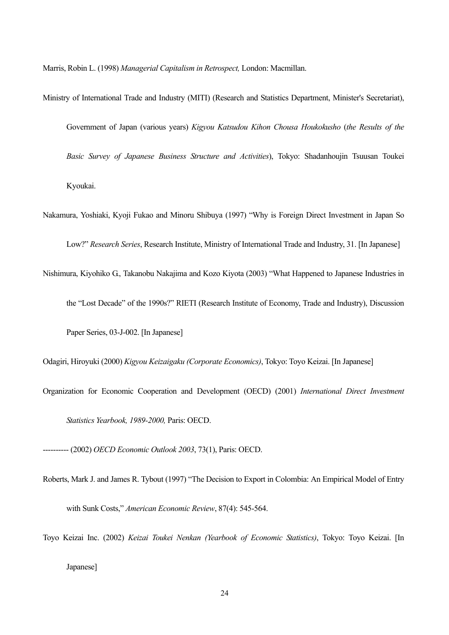Marris, Robin L. (1998) *Managerial Capitalism in Retrospect,* London: Macmillan.

- Ministry of International Trade and Industry (MITI) (Research and Statistics Department, Minister's Secretariat), Government of Japan (various years) *Kigyou Katsudou Kihon Chousa Houkokusho* (*the Results of the Basic Survey of Japanese Business Structure and Activities*), Tokyo: Shadanhoujin Tsuusan Toukei Kyoukai.
- Nakamura, Yoshiaki, Kyoji Fukao and Minoru Shibuya (1997) "Why is Foreign Direct Investment in Japan So Low?" *Research Series*, Research Institute, Ministry of International Trade and Industry, 31. [In Japanese]
- Nishimura, Kiyohiko G., Takanobu Nakajima and Kozo Kiyota (2003) "What Happened to Japanese Industries in the "Lost Decade" of the 1990s?" RIETI (Research Institute of Economy, Trade and Industry), Discussion Paper Series, 03-J-002. [In Japanese]

Odagiri, Hiroyuki (2000) *Kigyou Keizaigaku (Corporate Economics)*, Tokyo: Toyo Keizai. [In Japanese]

Organization for Economic Cooperation and Development (OECD) (2001) *International Direct Investment Statistics Yearbook, 1989-2000,* Paris: OECD.

---------- (2002) *OECD Economic Outlook 2003*, 73(1), Paris: OECD.

- Roberts, Mark J. and James R. Tybout (1997) "The Decision to Export in Colombia: An Empirical Model of Entry with Sunk Costs," *American Economic Review*, 87(4): 545-564.
- Toyo Keizai Inc. (2002) *Keizai Toukei Nenkan (Yearbook of Economic Statistics)*, Tokyo: Toyo Keizai. [In Japanese]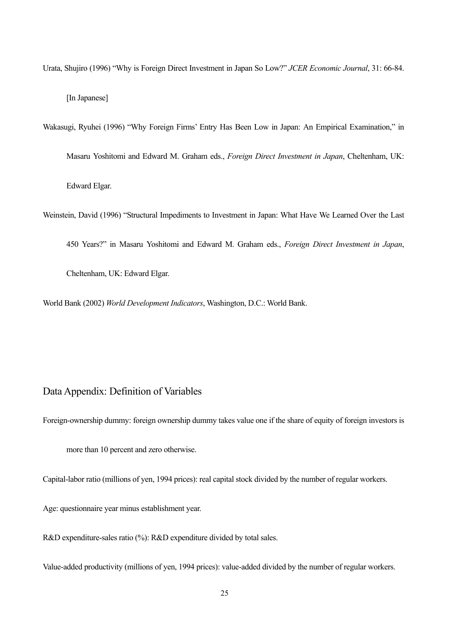Urata, Shujiro (1996) "Why is Foreign Direct Investment in Japan So Low?" *JCER Economic Journal*, 31: 66-84. [In Japanese]

Wakasugi, Ryuhei (1996) "Why Foreign Firms' Entry Has Been Low in Japan: An Empirical Examination," in Masaru Yoshitomi and Edward M. Graham eds., *Foreign Direct Investment in Japan*, Cheltenham, UK: Edward Elgar.

Weinstein, David (1996) "Structural Impediments to Investment in Japan: What Have We Learned Over the Last

450 Years?î in Masaru Yoshitomi and Edward M. Graham eds., *Foreign Direct Investment in Japan*,

Cheltenham, UK: Edward Elgar.

World Bank (2002) *World Development Indicators*, Washington, D.C.: World Bank.

#### Data Appendix: Definition of Variables

Foreign-ownership dummy: foreign ownership dummy takes value one if the share of equity of foreign investors is

more than 10 percent and zero otherwise.

Capital-labor ratio (millions of yen, 1994 prices): real capital stock divided by the number of regular workers.

Age: questionnaire year minus establishment year.

R&D expenditure-sales ratio (%): R&D expenditure divided by total sales.

Value-added productivity (millions of yen, 1994 prices): value-added divided by the number of regular workers.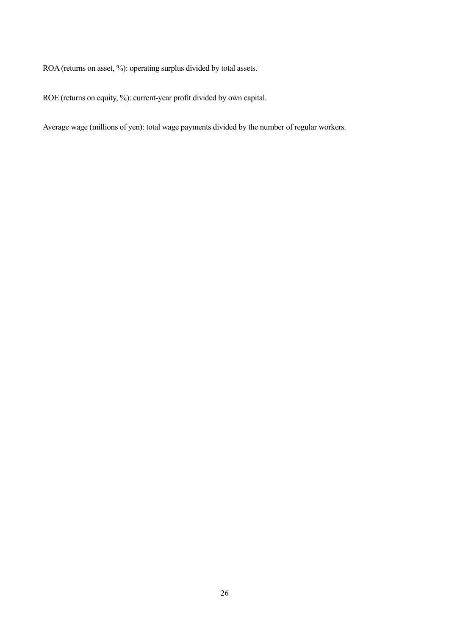ROA (returns on asset, %): operating surplus divided by total assets.

ROE (returns on equity, %): current-year profit divided by own capital.

Average wage (millions of yen): total wage payments divided by the number of regular workers.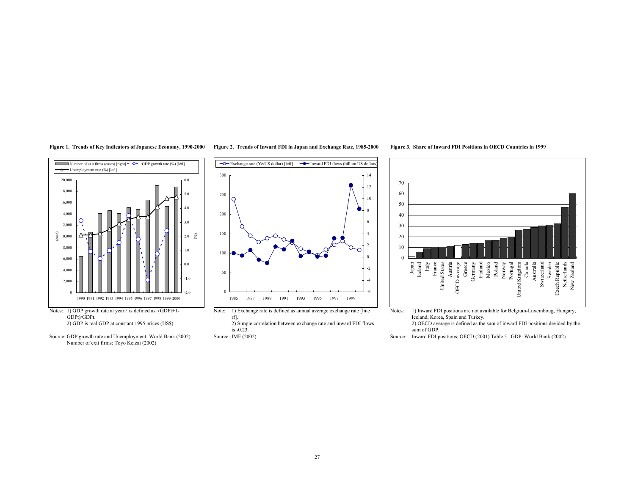

GDPt)/GDPt.<br>2) GDP is real GDP at constant 1995 prices (US\$).



#### Figure 1. Trends of Key Indicators of Japanese Economy, 1990-2000 Figure 2. Trends of Inward FDI in Japan and Exchange Rate, 1985-2000 Figure 3. Share of Inward FDI Positions in OECD Countries in 1999



rf].

2) Simple correlation between exchange rate and inward FDI flows

is -0.23.



1) Inward FDI positions are not available for Belgium-Luxemboug, Hungary, Iceland, Korea, Spain and Turkey.

2) OECD average is defined as the sum of inward FDI positions devided by the sum of GDP.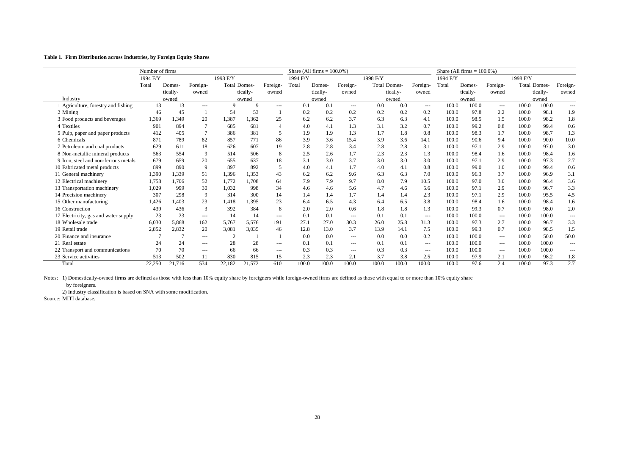#### **Table 1. Firm Distribution across Industries, by Foreign Equity Shares**

|                                      | Number of firms |          |          |                     |          |                                                                                                | Share (All firms $= 100.0\%$ ) |          |               |                     |          |                          | Share (All firms = $100.0\%$ ) |          |                      |                     |          |               |
|--------------------------------------|-----------------|----------|----------|---------------------|----------|------------------------------------------------------------------------------------------------|--------------------------------|----------|---------------|---------------------|----------|--------------------------|--------------------------------|----------|----------------------|---------------------|----------|---------------|
|                                      | 1994 F/Y        |          |          | 1998 F/Y            |          |                                                                                                | 1994 F/Y                       |          |               | 1998 F/Y            |          |                          | 1994 F/Y                       |          |                      | 1998 F/Y            |          |               |
|                                      | Total           | Domes-   | Foreign- | <b>Total Domes-</b> |          | Foreign-                                                                                       | Total                          | Domes-   | Foreign-      | <b>Total Domes-</b> |          | Foreign-                 | Total                          | Domes-   | Foreign-             | <b>Total Domes-</b> |          | Foreign-      |
|                                      |                 | tically- | owned    |                     | tically- | owned                                                                                          |                                | tically- | owned         |                     | tically- | owned                    |                                | tically- | owned                |                     | tically- | owned         |
| Industry                             |                 | owned    |          |                     | owned    |                                                                                                |                                | owned    |               |                     | owned    |                          |                                | owned    |                      | owned               |          |               |
| Agriculture, forestry and fishing    | 13              | 13       | $\cdots$ | 9                   | Q        | $\frac{1}{2} \left( \frac{1}{2} \right) \left( \frac{1}{2} \right) \left( \frac{1}{2} \right)$ | 0.1                            | 0.1      | $\cdots$      | 0.0                 | 0.0      | $\cdots$                 | 100.0                          | 100.0    | $\cdots$             | 100.0               | 100.0    | $\cdots$      |
| 2 Mining                             | 46              | 45       |          | 54                  | 53       |                                                                                                | 0.2                            | 0.2      | 0.2           | 0.2                 | 0.2      | 0.2                      | 100.0                          | 97.8     | 2.2                  | 100.0               | 98.1     | 1.9           |
| 3 Food products and beverages        | 1,369           | 1.349    | 20       | 1,387               | 1,362    | 25                                                                                             | 6.2                            | 6.2      | 3.7           | 6.3                 | 6.3      | 4.1                      | 100.0                          | 98.5     | 1.5                  | 100.0               | 98.2     | 1.8           |
| 4 Textiles                           | 901             | 894      |          | 685                 | 681      | $\Delta$                                                                                       | 4.0                            | 4.1      | 1.3           | 3.1                 | 3.2      | 0.7                      | 100.0                          | 99.2     | 0.8                  | 100.0               | 99.4     | 0.6           |
| 5 Pulp, paper and paper products     | 412             | 405      |          | 386                 | 381      | 5                                                                                              | 1.9                            | 1.9      | 1.3           | 1.7                 | 1.8      | 0.8                      | 100.0                          | 98.3     | 1.7                  | 100.0               | 98.7     | 1.3           |
| 6 Chemicals                          | 871             | 789      | 82       | 857                 | 771      | 86                                                                                             | 3.9                            | 3.6      | 15.4          | 3.9                 | 3.6      | 14.1                     | 100.0                          | 90.6     | 9.4                  | 100.0               | 90.0     | 10.0          |
| 7 Petroleum and coal products        | 629             | 611      | 18       | 626                 | 607      | 19                                                                                             | 2.8                            | 2.8      | 3.4           | 2.8                 | 2.8      | 3.1                      | 100.0                          | 97.1     | 2.9                  | 100.0               | 97.0     | 3.0           |
| 8 Non-metallic mineral products      | 563             | 554      | 9        | 514                 | 506      | 8                                                                                              | 2.5                            | 2.6      | 1.7           | 2.3                 | 2.3      | 1.3                      | 100.0                          | 98.4     | 1.6                  | 100.0               | 98.4     | 1.6           |
| 9 Iron, steel and non-ferrous metals | 679             | 659      | 20       | 655                 | 637      | 18                                                                                             | 3.1                            | 3.0      | 3.7           | 3.0                 | 3.0      | 3.0                      | 100.0                          | 97.1     | 2.9                  | 100.0               | 97.3     | 2.7           |
| 10 Fabricated metal products         | 899             | 890      | 9        | 897                 | 892      | -5                                                                                             | 4.0                            | 4.1      | 1.7           | 4.0                 | 4.1      | 0.8                      | 100.0                          | 99.0     | 1.0                  | 100.0               | 99.4     | 0.6           |
| 11 General machinery                 | 1,390           | 1,339    | 51       | 1,396               | 1,353    | 43                                                                                             | 6.2                            | 6.2      | 9.6           | 6.3                 | 6.3      | 7.0                      | 100.0                          | 96.3     | 3.7                  | 100.0               | 96.9     | 3.1           |
| 12 Electrical machinery              | 1,758           | 1.706    | 52       | 1,772               | 1.708    | 64                                                                                             | 7.9                            | 7.9      | 9.7           | 8.0                 | 7.9      | 10.5                     | 100.0                          | 97.0     | 3.0                  | 100.0               | 96.4     | 3.6           |
| 13 Transportation machinery          | 1.029           | 999      | 30       | 1.032               | 998      | 34                                                                                             | 4.6                            | 4.6      | 5.6           | 4.7                 | 4.6      | 5.6                      | 100.0                          | 97.1     | 2.9                  | 100.0               | 96.7     | 3.3           |
| 14 Precision machinery               | 307             | 298      | 9        | 314                 | 300      | 14                                                                                             | 1.4                            | 1.4      | 1.7           | 1.4                 | 1.4      | 2.3                      | 100.0                          | 97.1     | 2.9                  | 100.0               | 95.5     | 4.5           |
| 15 Other manufacturing               | 1,426           | .403     | 23       | 1,418               | 1,395    | 23                                                                                             | 6.4                            | 6.5      | 4.3           | 6.4                 | 6.5      | 3.8                      | 100.0                          | 98.4     | 1.6                  | 100.0               | 98.4     | 1.6           |
| 16 Construction                      | 439             | 436      | 3        | 392                 | 384      | 8                                                                                              | 2.0                            | 2.0      | 0.6           | 1.8                 | 1.8      | 1.3                      | 100.0                          | 99.3     | 0.7                  | 100.0               | 98.0     | 2.0           |
| 17 Electricity, gas and water supply | 23              | 23       | $\cdots$ | 14                  | 14       | $\cdots$                                                                                       | 0.1                            | 0.1      | $---$         | 0.1                 | 0.1      | $\hspace{0.05cm} \ldots$ | 100.0                          | 100.0    | $\cdots$             | 100.0               | 100.0    | $\frac{1}{2}$ |
| 18 Wholesale trade                   | 6,030           | 5,868    | 162      | 5,767               | 5,576    | 191                                                                                            | 27.1                           | 27.0     | 30.3          | 26.0                | 25.8     | 31.3                     | 100.0                          | 97.3     | 2.7                  | 100.0               | 96.7     | 3.3           |
| 19 Retail trade                      | 2,852           | 2,832    | 20       | 3.081               | 3,035    | 46                                                                                             | 12.8                           | 13.0     | 3.7           | 13.9                | 14.1     | 7.5                      | 100.0                          | 99.3     | 0.7                  | 100.0               | 98.5     | 1.5           |
| 20 Finance and insurance             |                 |          | $\cdots$ | $\overline{2}$      |          |                                                                                                | 0.0                            | 0.0      | $\frac{1}{2}$ | 0.0                 | 0.0      | 0.2                      | 100.0                          | 100.0    | $\sim$ $\sim$ $\sim$ | 100.0               | 50.0     | 50.0          |
| 21 Real estate                       | 24              | 24       | ---      | 28                  | 28       | $\cdots$                                                                                       | 0.1                            | 0.1      | $---$         | 0.1                 | 0.1      | ---                      | 100.0                          | 100.0    | $\cdots$             | 100.0               | 100.0    | $---$         |
| 22 Transport and communications      | 70              | 70       | ---      | 66                  | 66       | $---$                                                                                          | 0.3                            | 0.3      | $---$         | 0.3                 | 0.3      | ---                      | 100.0                          | 100.0    | $\cdots$             | 100.0               | 100.0    | $---$         |
| 23 Service activities                | 513             | 502      | 11       | 830                 | 815      | 15                                                                                             | 2.3                            | 2.3      | 2.1           | 3.7                 | 3.8      | 2.5                      | 100.0                          | 97.9     | 2.1                  | 100.0               | 98.2     | 1.8           |
| Total                                | 22,250          | 21,716   | 534      | 22,182              | 21,572   | 610                                                                                            | 100.0                          | 100.0    | 100.0         | 100.0               | 100.0    | 100.0                    | 100.0                          | 97.6     | 2.4                  | 100.0               | 97.3     | 2.7           |

Notes: 1) Domestically-owned firms are defined as those with less than 10% equity share by foreigners while foreign-owned firms are defined as those with equal to or more than 10% equity share

by foreigners.

2) Industry classification is based on SNA with some modification.

Source: MITI database.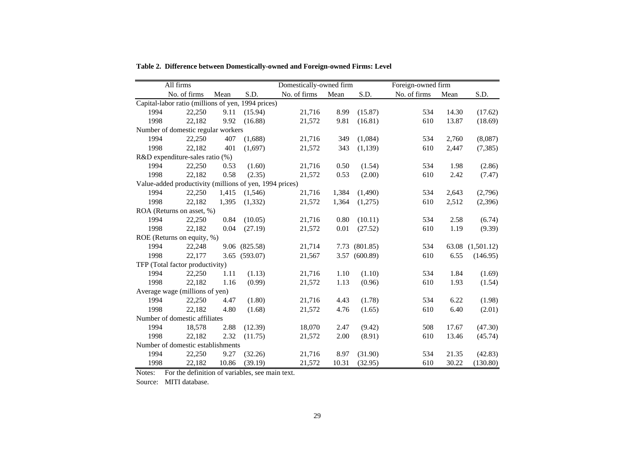|                                                         | All firms    |       |               | Domestically-owned firm |       |          | Foreign-owned firm |       |            |  |  |
|---------------------------------------------------------|--------------|-------|---------------|-------------------------|-------|----------|--------------------|-------|------------|--|--|
|                                                         | No. of firms | Mean  | S.D.          | No. of firms            | Mean  | S.D.     | No. of firms       | Mean  | S.D.       |  |  |
| Capital-labor ratio (millions of yen, 1994 prices)      |              |       |               |                         |       |          |                    |       |            |  |  |
| 1994                                                    | 22,250       | 9.11  | (15.94)       | 21,716                  | 8.99  | (15.87)  | 534                | 14.30 | (17.62)    |  |  |
| 1998                                                    | 22,182       | 9.92  | (16.88)       | 21,572                  | 9.81  | (16.81)  | 610                | 13.87 | (18.69)    |  |  |
| Number of domestic regular workers                      |              |       |               |                         |       |          |                    |       |            |  |  |
| 1994                                                    | 22,250       | 407   | (1,688)       | 21,716                  | 349   | (1,084)  | 534                | 2,760 | (8,087)    |  |  |
| 1998                                                    | 22,182       | 401   | (1.697)       | 21,572                  | 343   | (1, 139) | 610                | 2,447 | (7,385)    |  |  |
| R&D expenditure-sales ratio (%)                         |              |       |               |                         |       |          |                    |       |            |  |  |
| 1994                                                    | 22,250       | 0.53  | (1.60)        | 21,716                  | 0.50  | (1.54)   | 534                | 1.98  | (2.86)     |  |  |
| 1998                                                    | 22,182       | 0.58  | (2.35)        | 21,572                  | 0.53  | (2.00)   | 610                | 2.42  | (7.47)     |  |  |
| Value-added productivity (millions of yen, 1994 prices) |              |       |               |                         |       |          |                    |       |            |  |  |
| 1994                                                    | 22,250       | 1,415 | (1,546)       | 21,716                  | 1,384 | (1,490)  | 534                | 2,643 | (2,796)    |  |  |
| 1998                                                    | 22,182       | 1,395 | (1, 332)      | 21,572                  | 1,364 | (1,275)  | 610                | 2,512 | (2,396)    |  |  |
| ROA (Returns on asset, %)                               |              |       |               |                         |       |          |                    |       |            |  |  |
| 1994                                                    | 22,250       | 0.84  | (10.05)       | 21,716                  | 0.80  | (10.11)  | 534                | 2.58  | (6.74)     |  |  |
| 1998                                                    | 22,182       | 0.04  | (27.19)       | 21,572                  | 0.01  | (27.52)  | 610                | 1.19  | (9.39)     |  |  |
| ROE (Returns on equity, %)                              |              |       |               |                         |       |          |                    |       |            |  |  |
| 1994                                                    | 22,248       |       | 9.06 (825.58) | 21,714                  | 7.73  | (801.85) | 534                | 63.08 | (1,501.12) |  |  |
| 1998                                                    | 22,177       |       | 3.65 (593.07) | 21,567                  | 3.57  | (600.89) | 610                | 6.55  | (146.95)   |  |  |
| TFP (Total factor productivity)                         |              |       |               |                         |       |          |                    |       |            |  |  |
| 1994                                                    | 22,250       | 1.11  | (1.13)        | 21,716                  | 1.10  | (1.10)   | 534                | 1.84  | (1.69)     |  |  |
| 1998                                                    | 22,182       | 1.16  | (0.99)        | 21,572                  | 1.13  | (0.96)   | 610                | 1.93  | (1.54)     |  |  |
| Average wage (millions of yen)                          |              |       |               |                         |       |          |                    |       |            |  |  |
| 1994                                                    | 22,250       | 4.47  | (1.80)        | 21,716                  | 4.43  | (1.78)   | 534                | 6.22  | (1.98)     |  |  |
| 1998                                                    | 22,182       | 4.80  | (1.68)        | 21,572                  | 4.76  | (1.65)   | 610                | 6.40  | (2.01)     |  |  |
| Number of domestic affiliates                           |              |       |               |                         |       |          |                    |       |            |  |  |
| 1994                                                    | 18,578       | 2.88  | (12.39)       | 18,070                  | 2.47  | (9.42)   | 508                | 17.67 | (47.30)    |  |  |
| 1998                                                    | 22,182       | 2.32  | (11.75)       | 21,572                  | 2.00  | (8.91)   | 610                | 13.46 | (45.74)    |  |  |
| Number of domestic establishments                       |              |       |               |                         |       |          |                    |       |            |  |  |
| 1994                                                    | 22,250       | 9.27  | (32.26)       | 21,716                  | 8.97  | (31.90)  | 534                | 21.35 | (42.83)    |  |  |
| 1998                                                    | 22,182       | 10.86 | (39.19)       | 21,572                  | 10.31 | (32.95)  | 610                | 30.22 | (130.80)   |  |  |

**Table 2. Difference between Domestically-owned and Foreign-owned Firms: Level**

Notes: For the definition of variables, see main text.

Source: MITI database.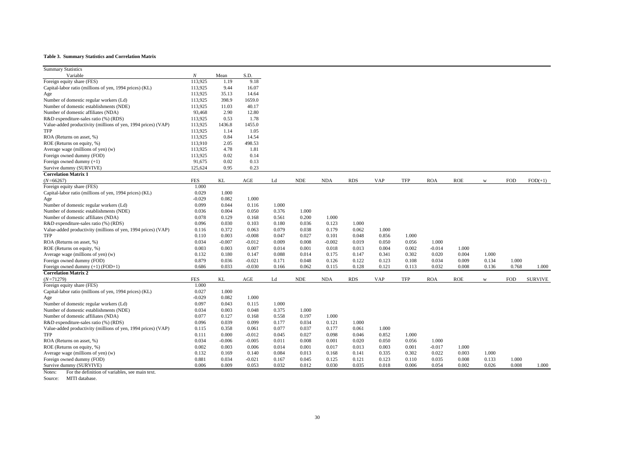#### **Table 3. Summary Statistics and Correlation Matrix**

| <b>Summary Statistics</b>                                     |                  |          |          |       |            |            |            |            |            |            |            |       |            |                |
|---------------------------------------------------------------|------------------|----------|----------|-------|------------|------------|------------|------------|------------|------------|------------|-------|------------|----------------|
| Variable                                                      | $\boldsymbol{N}$ | Mean     | S.D.     |       |            |            |            |            |            |            |            |       |            |                |
| Foreign equity share (FES)                                    | 113,925          | 1.19     | 9.18     |       |            |            |            |            |            |            |            |       |            |                |
| Capital-labor ratio (millions of yen, 1994 prices) (KL)       | 113,925          | 9.44     | 16.07    |       |            |            |            |            |            |            |            |       |            |                |
| Age                                                           | 113,925          | 35.13    | 14.64    |       |            |            |            |            |            |            |            |       |            |                |
| Number of domestic regular workers (Ld)                       | 113,925          | 398.9    | 1659.0   |       |            |            |            |            |            |            |            |       |            |                |
| Number of domestic establishments (NDE)                       | 113,925          | 11.03    | 40.17    |       |            |            |            |            |            |            |            |       |            |                |
| Number of domestic affiliates (NDA)                           | 93,468           | 2.90     | 12.80    |       |            |            |            |            |            |            |            |       |            |                |
| R&D expenditure-sales ratio (%) (RDS)                         | 113,925          | 0.53     | 1.78     |       |            |            |            |            |            |            |            |       |            |                |
| Value-added productivity (millions of yen, 1994 prices) (VAP) | 113,925          | 1436.8   | 1455.0   |       |            |            |            |            |            |            |            |       |            |                |
| TFP                                                           | 113,925          | 1.14     | 1.05     |       |            |            |            |            |            |            |            |       |            |                |
| ROA (Returns on asset, %)                                     | 113,925          | 0.84     | 14.54    |       |            |            |            |            |            |            |            |       |            |                |
| ROE (Returns on equity, %)                                    | 113,910          | 2.05     | 498.53   |       |            |            |            |            |            |            |            |       |            |                |
| Average wage (millions of yen) (w)                            | 113,925          | 4.78     | 1.81     |       |            |            |            |            |            |            |            |       |            |                |
| Foreign owned dummy (FOD)                                     | 113,925          | 0.02     | 0.14     |       |            |            |            |            |            |            |            |       |            |                |
| Foreign owned dummy $(+1)$                                    | 91,675           | 0.02     | 0.13     |       |            |            |            |            |            |            |            |       |            |                |
| Survive dummy (SURVIVE)                                       | 125,624          | 0.95     | 0.23     |       |            |            |            |            |            |            |            |       |            |                |
| <b>Correlation Matrix 1</b>                                   |                  |          |          |       |            |            |            |            |            |            |            |       |            |                |
| $(N = 66267)$                                                 | FES              | KL       | AGE      | Ld    | <b>NDE</b> | <b>NDA</b> | <b>RDS</b> | <b>VAP</b> | <b>TFP</b> | <b>ROA</b> | <b>ROE</b> | W     | <b>FOD</b> | $FOD(+1)$      |
| Foreign equity share (FES)                                    | 1.000            |          |          |       |            |            |            |            |            |            |            |       |            |                |
| Capital-labor ratio (millions of yen, 1994 prices) (KL)       | 0.029            | 1.000    |          |       |            |            |            |            |            |            |            |       |            |                |
|                                                               | $-0.029$         | 0.082    | 1.000    |       |            |            |            |            |            |            |            |       |            |                |
| Age                                                           | 0.099            | 0.044    |          |       |            |            |            |            |            |            |            |       |            |                |
| Number of domestic regular workers (Ld)                       |                  |          | 0.116    | 1.000 |            |            |            |            |            |            |            |       |            |                |
| Number of domestic establishments (NDE)                       | 0.036            | 0.004    | 0.050    | 0.376 | 1.000      |            |            |            |            |            |            |       |            |                |
| Number of domestic affiliates (NDA)                           | 0.078            | 0.129    | 0.168    | 0.561 | 0.200      | 1.000      |            |            |            |            |            |       |            |                |
| R&D expenditure-sales ratio (%) (RDS)                         | 0.096            | 0.030    | 0.103    | 0.180 | 0.036      | 0.123      | 1.000      |            |            |            |            |       |            |                |
| Value-added productivity (millions of yen, 1994 prices) (VAP) | 0.116            | 0.372    | 0.063    | 0.079 | 0.038      | 0.179      | 0.062      | 1.000      |            |            |            |       |            |                |
| TFP                                                           | 0.110            | 0.003    | $-0.008$ | 0.047 | 0.027      | 0.101      | 0.048      | 0.856      | 1.000      |            |            |       |            |                |
| ROA (Returns on asset, %)                                     | 0.034            | $-0.007$ | $-0.012$ | 0.009 | 0.008      | $-0.002$   | 0.019      | 0.050      | 0.056      | 1.000      |            |       |            |                |
| ROE (Returns on equity, %)                                    | 0.003            | 0.003    | 0.007    | 0.014 | 0.001      | 0.018      | 0.013      | 0.004      | 0.002      | $-0.014$   | 1.000      |       |            |                |
| Average wage (millions of yen) (w)                            | 0.132            | 0.180    | 0.147    | 0.088 | 0.014      | 0.175      | 0.147      | 0.341      | 0.302      | 0.020      | 0.004      | 1.000 |            |                |
| Foreign owned dummy (FOD)                                     | 0.879            | 0.036    | $-0.021$ | 0.171 | 0.048      | 0.126      | 0.122      | 0.123      | 0.108      | 0.034      | 0.009      | 0.134 | 1.000      |                |
| Foreign owned dummy $(+1)$ (FOD+1)                            | 0.686            | 0.033    | $-0.030$ | 0.166 | 0.062      | 0.115      | 0.128      | 0.121      | 0.113      | 0.032      | 0.008      | 0.136 | 0.768      | 1.000          |
| <b>Correlation Matrix 2</b>                                   |                  |          |          |       |            |            |            |            |            |            |            |       |            |                |
| $(N=71279)$                                                   | <b>FES</b>       | KL       | AGE      | Ld    | <b>NDE</b> | <b>NDA</b> | <b>RDS</b> | <b>VAP</b> | TFP        | <b>ROA</b> | ROE        | W     | <b>FOD</b> | <b>SURVIVE</b> |
| Foreign equity share (FES)                                    | 1.000            |          |          |       |            |            |            |            |            |            |            |       |            |                |
| Capital-labor ratio (millions of yen, 1994 prices) (KL)       | 0.027            | 1.000    |          |       |            |            |            |            |            |            |            |       |            |                |
| Age                                                           | $-0.029$         | 0.082    | 1.000    |       |            |            |            |            |            |            |            |       |            |                |
| Number of domestic regular workers (Ld)                       | 0.097            | 0.043    | 0.115    | 1.000 |            |            |            |            |            |            |            |       |            |                |
| Number of domestic establishments (NDE)                       | 0.034            | 0.003    | 0.048    | 0.375 | 1.000      |            |            |            |            |            |            |       |            |                |
| Number of domestic affiliates (NDA)                           | 0.077            | 0.127    | 0.168    | 0.558 | 0.197      | 1.000      |            |            |            |            |            |       |            |                |
| R&D expenditure-sales ratio (%) (RDS)                         | 0.096            | 0.039    | 0.099    | 0.177 | 0.034      | 0.121      | 1.000      |            |            |            |            |       |            |                |
| Value-added productivity (millions of yen, 1994 prices) (VAP) | 0.115            | 0.358    | 0.061    | 0.077 | 0.037      | 0.177      | 0.061      | 1.000      |            |            |            |       |            |                |
| <b>TFP</b>                                                    | 0.111            | 0.000    | $-0.012$ | 0.045 | 0.027      | 0.098      | 0.046      | 0.852      | 1.000      |            |            |       |            |                |
| ROA (Returns on asset, %)                                     | 0.034            | $-0.006$ | $-0.005$ | 0.011 | 0.008      | 0.001      | 0.020      | 0.050      | 0.056      | 1.000      |            |       |            |                |
| ROE (Returns on equity, %)                                    | 0.002            | 0.003    | 0.006    | 0.014 | 0.001      | 0.017      | 0.013      | 0.003      | 0.001      | $-0.017$   | 1.000      |       |            |                |
| Average wage (millions of yen) (w)                            | 0.132            | 0.169    | 0.140    | 0.084 | 0.013      | 0.168      | 0.141      | 0.335      | 0.302      | 0.022      | 0.003      | 1.000 |            |                |
| Foreign owned dummy (FOD)                                     | 0.881            | 0.034    | $-0.021$ | 0.167 | 0.045      | 0.125      | 0.121      | 0.123      | 0.110      | 0.035      | 0.008      | 0.133 | 1.000      |                |
| Survive dummy (SURVIVE)                                       | 0.006            | 0.009    | 0.053    | 0.032 | 0.012      | 0.030      | 0.035      | 0.018      | 0.006      | 0.054      | 0.002      | 0.026 | 0.008      | 1.000          |
| Notes:<br>For the definition of variables, see main text.     |                  |          |          |       |            |            |            |            |            |            |            |       |            |                |

Source: MITI database.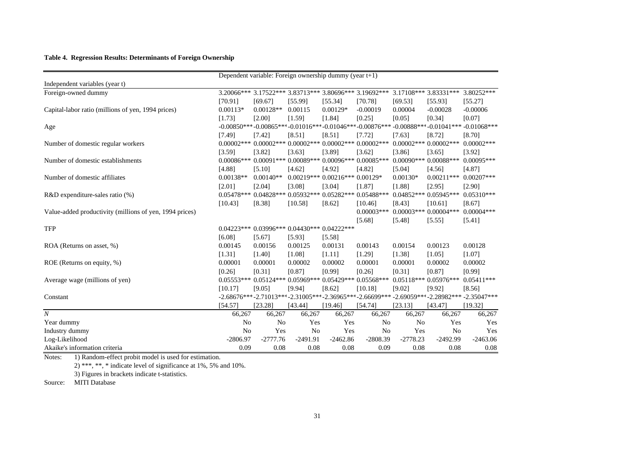#### **Table 4. Regression Results: Determinants of Foreign Ownership**

|                                                         | Dependent variable: Foreign ownership dummy (year t+1) |                |                                  |                      |                                                           |                |                        |                                                                                            |  |  |
|---------------------------------------------------------|--------------------------------------------------------|----------------|----------------------------------|----------------------|-----------------------------------------------------------|----------------|------------------------|--------------------------------------------------------------------------------------------|--|--|
| Independent variables (year t)                          |                                                        |                |                                  |                      |                                                           |                |                        |                                                                                            |  |  |
| Foreign-owned dummy                                     |                                                        |                |                                  |                      | 3.20066*** 3.17522*** 3.83713*** 3.80696*** 3.19692***    |                | 3.17108*** 3.83331***  | 3.80252***                                                                                 |  |  |
|                                                         | [70.91]                                                | [69.67]        | [55.99]                          | [55.34]              | [70.78]                                                   | [69.53]        | [55.93]                | [55.27]                                                                                    |  |  |
| Capital-labor ratio (millions of yen, 1994 prices)      | $0.00113*$                                             | $0.00128**$    | 0.00115                          | $0.00129*$           | $-0.00019$                                                | 0.00004        | $-0.00028$             | $-0.00006$                                                                                 |  |  |
|                                                         | [1.73]                                                 | [2.00]         | [1.59]                           | [1.84]               | [0.25]                                                    | [0.05]         | [0.34]                 | [0.07]                                                                                     |  |  |
| Age                                                     |                                                        |                |                                  |                      |                                                           |                |                        | $-0.00850***-0.00865***-0.01016***-0.01046***-0.00876***-0.00888***-0.01041***-0.01068***$ |  |  |
|                                                         | [7.49]                                                 | [7.42]         | [8.51]                           | [8.51]               | [7.72]                                                    | [7.63]         | [8.72]                 | [8.70]                                                                                     |  |  |
| Number of domestic regular workers                      | $0.00002$ ***                                          |                | $0.00002***0.00002***$           |                      | $0.00002***0.00002***$                                    |                | $0.00002***0.00002***$ | $0.00002$ ***                                                                              |  |  |
|                                                         | [3.59]                                                 | [3.82]         | [3.63]                           | [3.89]               | [3.62]                                                    | [3.86]         | [3.65]                 | [3.92]                                                                                     |  |  |
| Number of domestic establishments                       |                                                        |                |                                  |                      | $0.00086***0.00091***0.00089***0.00096***0.00085***$      |                | $0.00090***0.00088***$ | $0.00095***$                                                                               |  |  |
|                                                         | [4.88]                                                 | [5.10]         | [4.62]                           | [4.92]               | [4.82]                                                    | [5.04]         | [4.56]                 | [4.87]                                                                                     |  |  |
| Number of domestic affiliates                           | $0.00138**$                                            | $0.00140**$    | $0.00219***$                     | $0.00216***0.00129*$ |                                                           | $0.00130*$     | $0.00211***$           | $0.00207***$                                                                               |  |  |
|                                                         | [2.01]                                                 | [2.04]         | [3.08]                           | [3.04]               | [1.87]                                                    | [1.88]         | [2.95]                 | [2.90]                                                                                     |  |  |
| $R&D$ expenditure-sales ratio $(\%)$                    | $0.05478***$                                           |                | $0.04828***0.05932***$           |                      | $0.05282***0.05488***$                                    |                | $0.04852***0.05945***$ | $0.05310***$                                                                               |  |  |
|                                                         | [10.43]                                                | [8.38]         | [10.58]                          | [8.62]               | [10.46]                                                   | [8.43]         | [10.61]                | [8.67]                                                                                     |  |  |
| Value-added productivity (millions of yen, 1994 prices) |                                                        |                |                                  |                      | $0.00003$ ***                                             |                | $0.00003***0.00004***$ | $0.00004***$                                                                               |  |  |
|                                                         |                                                        |                |                                  |                      | [5.68]                                                    | [5.48]         | [5.55]                 | [5.41]                                                                                     |  |  |
| <b>TFP</b>                                              | $0.04223***$                                           |                | $0.03996***0.04430***0.04222***$ |                      |                                                           |                |                        |                                                                                            |  |  |
|                                                         | [6.08]                                                 | [5.67]         | [5.93]                           | [5.58]               |                                                           |                |                        |                                                                                            |  |  |
| ROA (Returns on asset, %)                               | 0.00145                                                | 0.00156        | 0.00125                          | 0.00131              | 0.00143                                                   | 0.00154        | 0.00123                | 0.00128                                                                                    |  |  |
|                                                         | [1.31]                                                 | [1.40]         | [1.08]                           | [1.11]               | [1.29]                                                    | [1.38]         | [1.05]                 | [1.07]                                                                                     |  |  |
| ROE (Returns on equity, %)                              | 0.00001                                                | 0.00001        | 0.00002                          | 0.00002              | 0.00001                                                   | 0.00001        | 0.00002                | 0.00002                                                                                    |  |  |
|                                                         | [0.26]                                                 | [0.31]         | [0.87]                           | [0.99]               | [0.26]                                                    | [0.31]         | [0.87]                 | [0.99]                                                                                     |  |  |
| Average wage (millions of yen)                          | $0.05553***$                                           |                | $0.05124***0.05969***$           | $0.05429***$         | $0.05568***$                                              |                | $0.05118***0.05976***$ | $0.05411***$                                                                               |  |  |
|                                                         | [10.17]                                                | [9.05]         | [9.94]                           | [8.62]               | [10.18]                                                   | [9.02]         | [9.92]                 | [8.56]                                                                                     |  |  |
| Constant                                                |                                                        |                |                                  |                      | $-2.68676***-2.71013***-2.31005***-2.36965***-2.66699***$ |                |                        | $-2.69059***-2.28982***-2.35047***$                                                        |  |  |
|                                                         | [54.57]                                                | [23.28]        | [43.44]                          | [19.46]              | [54.74]                                                   | [23.13]        | [43.47]                | [19.32]                                                                                    |  |  |
| $\boldsymbol{N}$                                        | 66,267                                                 | 66,267         | 66,267                           | 66,267               | 66,267                                                    | 66,267         | 66,267                 | 66,267                                                                                     |  |  |
| Year dummy                                              | N <sub>o</sub>                                         | N <sub>0</sub> | Yes                              | Yes                  | No                                                        | N <sub>o</sub> | Yes                    | Yes                                                                                        |  |  |
| Industry dummy                                          | No                                                     | Yes            | N <sub>o</sub>                   | Yes                  | No                                                        | Yes            | N <sub>0</sub>         | Yes                                                                                        |  |  |
| Log-Likelihood                                          | $-2806.97$                                             | $-2777.76$     | $-2491.91$                       | $-2462.86$           | $-2808.39$                                                | $-2778.23$     | $-2492.99$             | $-2463.06$                                                                                 |  |  |
| Akaike's information criteria                           | 0.09                                                   | 0.08           | 0.08                             | 0.08                 | 0.09                                                      | 0.08           | 0.08                   | 0.08                                                                                       |  |  |

Notes: 1) Random-effect probit model is used for estimation.

2) \*\*\*, \*\*, \* indicate level of significance at  $1\%$ , 5% and  $10\%$ .

3) Figures in brackets indicate t-statistics.

Source: MITI Database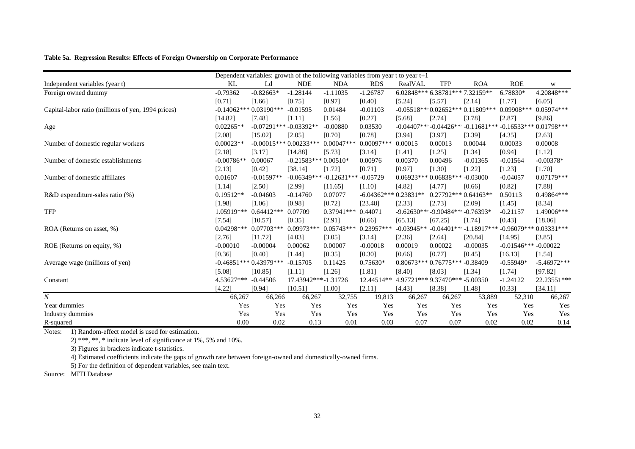#### **Table 5a. Regression Results: Effects of Foreign Ownership on Corporate Performance**

| Dependent variables: growth of the following variables from year $t$ to year $t+1$ |              |                         |                         |                                        |                        |              |                                   |                                                |                       |               |
|------------------------------------------------------------------------------------|--------------|-------------------------|-------------------------|----------------------------------------|------------------------|--------------|-----------------------------------|------------------------------------------------|-----------------------|---------------|
| Independent variables (year t)                                                     | KL           | Ld                      | <b>NDE</b>              | <b>NDA</b>                             | <b>RDS</b>             | RealVAL      | <b>TFP</b>                        | <b>ROA</b>                                     | <b>ROE</b>            | W             |
| Foreign owned dummy                                                                | $-0.79362$   | $-0.82663*$             | $-1.28144$              | $-1.11035$                             | $-1.26787$             |              | 6.02848*** 6.38781*** 7.32159**   |                                                | 6.78830*              | 4.20848***    |
|                                                                                    | [0.71]       | [1.66]                  | [0.75]                  | [0.97]                                 | [0.40]                 | [5.24]       | [5.57]                            | [2.14]                                         | [1.77]                | [6.05]        |
| Capital-labor ratio (millions of yen, 1994 prices)                                 |              | $-0.14062***0.03190***$ | $-0.01595$              | 0.01484                                | $-0.01103$             |              |                                   | $-0.05518***0.02652***0.11809***$              | $0.09908$ ***         | 0.05974***    |
|                                                                                    | [14.82]      | [7.48]                  | [1.11]                  | [1.56]                                 | [0.27]                 | [5.68]       | [2.74]                            | [3.78]                                         | [2.87]                | [9.86]        |
| Age                                                                                | $0.02265**$  | $-0.07291***$           | $-0.03392**$            | $-0.00880$                             | 0.03530                |              |                                   | $-0.04407***-0.04426***-0.11681***-0.16533***$ |                       | $0.01798***$  |
|                                                                                    | [2.08]       | [15.02]                 | [2.05]                  | [0.70]                                 | [0.78]                 | [3.94]       | [3.97]                            | [3.39]                                         | [4.35]                | [2.63]        |
| Number of domestic regular workers                                                 | $0.00023**$  |                         | $-0.00015***0.00233***$ | $0.00047***$                           | $0.00097***$           | 0.00015      | 0.00013                           | 0.00044                                        | 0.00033               | 0.00008       |
|                                                                                    | [2.18]       | [3.17]                  | [14.88]                 | [5.73]                                 | [3.14]                 | [1.41]       | [1.25]                            | [1.34]                                         | [0.94]                | [1.12]        |
| Number of domestic establishments                                                  | $-0.00786**$ | 0.00067                 | $-0.21583***0.00510*$   |                                        | 0.00976                | 0.00370      | 0.00496                           | $-0.01365$                                     | $-0.01564$            | $-0.00378*$   |
|                                                                                    | [2.13]       | [0.42]                  | [38.14]                 | [1.72]                                 | [0.71]                 | [0.97]       | [1.30]                            | [1.22]                                         | [1.23]                | [1.70]        |
| Number of domestic affiliates                                                      | 0.01607      | $-0.01597**$            |                         | $-0.06349***$ $-0.12631***$ $-0.05729$ |                        |              | $0.06923***0.06838***-0.03000$    |                                                | $-0.04057$            | $0.07179***$  |
|                                                                                    | [1.14]       | [2.50]                  | [2.99]                  | [11.65]                                | [1.10]                 | [4.82]       | [4.77]                            | [0.66]                                         | [0.82]                | [7.88]        |
| $R&D$ expenditure-sales ratio $(\%)$                                               | $0.19512**$  | $-0.04603$              | $-0.14760$              | 0.07077                                | $-6.04362***0.23831**$ |              | $0.27792***0.64163**$             |                                                | 0.50113               | 0.49864***    |
|                                                                                    | [1.98]       | [1.06]                  | [0.98]                  | [0.72]                                 | [23.48]                | [2.33]       | [2.73]                            | [2.09]                                         | [1.45]                | [8.34]        |
| <b>TFP</b>                                                                         | 1.05919***   | $0.64412***$            | 0.07709                 | $0.37941***$                           | 0.44071                |              | -9.62630*** -9.90484*** -0.76393* |                                                | $-0.21157$            | 1.49006***    |
|                                                                                    | [7.54]       | [10.57]                 | [0.35]                  | [2.91]                                 | [0.66]                 | [65.13]      | [67.25]                           | [1.74]                                         | [0.43]                | [18.06]       |
| ROA (Returns on asset, %)                                                          | $0.04298***$ | $0.07703***$            | $0.09973***$            | $0.05743***$                           | $0.23957***$           | $-0.03945**$ |                                   | $-0.04401***-1.18917***$                       | $-0.96079***$         | $0.03331***$  |
|                                                                                    | [2.76]       | [11.72]                 | [4.03]                  | [3.05]                                 | [3.14]                 | [2.36]       | [2.64]                            | [20.84]                                        | [14.95]               | [3.85]        |
| ROE (Returns on equity, %)                                                         | $-0.00010$   | $-0.00004$              | 0.00062                 | 0.00007                                | $-0.00018$             | 0.00019      | 0.00022                           | $-0.00035$                                     | $-0.01546***-0.00022$ |               |
|                                                                                    | [0.36]       | [0.40]                  | [1.44]                  | [0.35]                                 | [0.30]                 | [0.66]       | [0.77]                            | [0.45]                                         | [16.13]               | [1.54]        |
| Average wage (millions of yen)                                                     |              | $-0.46851***0.43979***$ | $-0.15705$              | 0.11425                                | $0.75630*$             |              | $0.80673***0.76775***$            | $-0.38409$                                     | $-0.55949*$           | $-5.46972***$ |
|                                                                                    | [5.08]       | [10.85]                 | [1.11]                  | [1.26]                                 | [1.81]                 | [8.40]       | [8.03]                            | [1.34]                                         | [1.74]                | [97.82]       |
| Constant                                                                           | 4.53627***   | $-0.44506$              | 17.43942***-1.31726     |                                        | 12.44514**             |              | 4.97721*** 9.37470*** -5.00350    |                                                | $-1.24122$            | 22.23551***   |
|                                                                                    | [4.22]       | [0.94]                  | [10.51]                 | [1.00]                                 | [2.11]                 | [4.43]       | [8.38]                            | [1.48]                                         | [0.33]                | [34.11]       |
| $\boldsymbol{N}$                                                                   | 66,267       | 66,266                  | 66,267                  | 32,755                                 | 19,813                 | 66,267       | 66,267                            | 53,889                                         | 52,310                | 66,267        |
| Year dummies                                                                       | Yes          | Yes                     | Yes                     | Yes                                    | Yes                    | Yes          | Yes                               | Yes                                            | Yes                   | Yes           |
| Industry dummies                                                                   | Yes          | Yes                     | Yes                     | Yes                                    | Yes                    | Yes          | Yes                               | Yes                                            | Yes                   | Yes           |
| R-squared                                                                          | 0.00         | 0.02                    | 0.13                    | 0.01                                   | 0.03                   | 0.07         | 0.07                              | 0.02                                           | 0.02                  | 0.14          |

Notes: 1) Random-effect model is used for estimation.

2) \*\*\*, \*\*, \* indicate level of significance at 1%, 5% and 10%.

3) Figures in brackets indicate t-statistics.

4) Estimated coefficients indicate the gaps of growth rate between foreign-owned and domestically-owned firms.

5) For the definition of dependent variables, see main text.

Source: MITI Database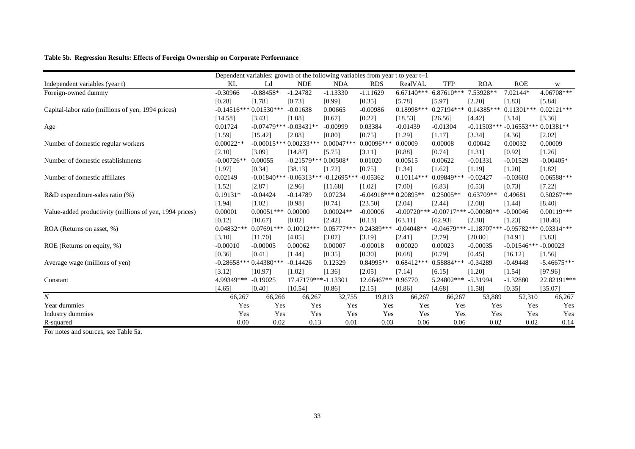#### **Table 5b. Regression Results: Effects of Foreign Ownership on Corporate Performance**

|                                                         | Dependent variables: growth of the following variables from year $t$ to year $t+1$ |                         |                         |               |               |               |               |               |                        |               |
|---------------------------------------------------------|------------------------------------------------------------------------------------|-------------------------|-------------------------|---------------|---------------|---------------|---------------|---------------|------------------------|---------------|
| Independent variables (year t)                          | KL                                                                                 | Ld                      | <b>NDE</b>              | <b>NDA</b>    | <b>RDS</b>    | RealVAL       | <b>TFP</b>    | <b>ROA</b>    | <b>ROE</b>             | W             |
| Foreign-owned dummy                                     | $-0.30966$                                                                         | $-0.88458*$             | $-1.24782$              | $-1.13330$    | $-1.11629$    | $6.67140***$  | $6.87610***$  | 7.53928**     | 7.02144*               | 4.06708***    |
|                                                         | [0.28]                                                                             | [1.78]                  | [0.73]                  | [0.99]        | [0.35]        | [5.78]        | [5.97]        | [2.20]        | [1.83]                 | [5.84]        |
| Capital-labor ratio (millions of yen, 1994 prices)      |                                                                                    | $-0.14516***0.01530***$ | $-0.01638$              | 0.00665       | $-0.00986$    | 0.18998***    | 0.27194***    | $0.14385***$  | $0.11301***$           | $0.02121***$  |
|                                                         | [14.58]                                                                            | [3.43]                  | [1.08]                  | [0.67]        | [0.22]        | [18.53]       | [26.56]       | [4.42]        | [3.14]                 | [3.36]        |
| Age                                                     | 0.01724                                                                            | $-0.07479***$           | $-0.03431**$            | $-0.00999$    | 0.03384       | $-0.01439$    | $-0.01304$    | $-0.11503***$ | $-0.16553***$          | $0.01381**$   |
|                                                         | [1.59]                                                                             | [15.42]                 | [2.08]                  | [0.80]        | [0.75]        | [1.29]        | [1.17]        | [3.34]        | [4.36]                 | [2.02]        |
| Number of domestic regular workers                      | $0.00022**$                                                                        |                         | $-0.00015***0.00233***$ | $0.00047***$  | $0.00096***$  | 0.00009       | 0.00008       | 0.00042       | 0.00032                | 0.00009       |
|                                                         | [2.10]                                                                             | [3.09]                  | [14.87]                 | [5.75]        | [3.11]        | [0.88]        | [0.74]        | [1.31]        | [0.92]                 | [1.26]        |
| Number of domestic establishments                       | $-0.00726**$                                                                       | 0.00055                 | $-0.21579***0.00508*$   |               | 0.01020       | 0.00515       | 0.00622       | $-0.01331$    | $-0.01529$             | $-0.00405*$   |
|                                                         | [1.97]                                                                             | [0.34]                  | [38.13]                 | [1.72]        | [0.75]        | [1.34]        | [1.62]        | [1.19]        | [1.20]                 | [1.82]        |
| Number of domestic affiliates                           | 0.02149                                                                            | $-0.01840***$           | $-0.06313***$           | $-0.12695***$ | $-0.05362$    | $0.10114***$  | $0.09849***$  | $-0.02427$    | $-0.03603$             | 0.06588***    |
|                                                         | [1.52]                                                                             | [2.87]                  | [2.96]                  | [11.68]       | [1.02]        | [7.00]        | [6.83]        | [0.53]        | [0.73]                 | [7.22]        |
| $R&D$ expenditure-sales ratio $(\%)$                    | $0.19131*$                                                                         | $-0.04424$              | $-0.14789$              | 0.07234       | $-6.04918***$ | 0.20895**     | $0.25005**$   | $0.63709**$   | 0.49681                | $0.50267***$  |
|                                                         | [1.94]                                                                             | [1.02]                  | [0.98]                  | [0.74]        | [23.50]       | [2.04]        | [2.44]        | [2.08]        | [1.44]                 | [8.40]        |
| Value-added productivity (millions of yen, 1994 prices) | 0.00001                                                                            | $0.00051***$            | 0.00000                 | $0.00024**$   | $-0.00006$    | $-0.00720***$ | $-0.00717***$ | $-0.00080**$  | $-0.00046$             | $0.00119***$  |
|                                                         | [0.12]                                                                             | [10.67]                 | [0.02]                  | [2.42]        | [0.13]        | [63.11]       | [62.93]       | [2.38]        | [1.23]                 | [18.46]       |
| ROA (Returns on asset, %)                               | $0.04832**$                                                                        | $0.07691***$            | $0.10012***$            | $0.05777***$  | 0.24389***    | $-0.04048**$  | $-0.04679***$ | $-1.18707***$ | $-0.95782**$           | $0.03314***$  |
|                                                         | [3.10]                                                                             | [11.70]                 | [4.05]                  | [3.07]        | [3.19]        | [2.41]        | [2.79]        | [20.80]       | [14.91]                | [3.83]        |
| ROE (Returns on equity, %)                              | $-0.00010$                                                                         | $-0.00005$              | 0.00062                 | 0.00007       | $-0.00018$    | 0.00020       | 0.00023       | $-0.00035$    | $-0.01546*** -0.00023$ |               |
|                                                         | [0.36]                                                                             | [0.41]                  | [1.44]                  | [0.35]        | [0.30]        | [0.68]        | [0.79]        | [0.45]        | [16.12]                | [1.56]        |
| Average wage (millions of yen)                          |                                                                                    | $-0.28658***0.44380***$ | $-0.14426$              | 0.12329       | $0.84995**$   | 0.68412***    | 0.58884***    | $-0.34289$    | $-0.49448$             | $-5.46675***$ |
|                                                         | [3.12]                                                                             | [10.97]                 | [1.02]                  | [1.36]        | [2.05]        | [7.14]        | [6.15]        | [1.20]        | [1.54]                 | [97.96]       |
| Constant                                                | 4.99349***                                                                         | $-0.19025$              | 17.47179***-1.13301     |               | 12.66467**    | 0.96770       | 5.24802***    | $-5.31994$    | $-1.32880$             | 22.82191***   |
|                                                         | [4.65]                                                                             | [0.40]                  | [10.54]                 | [0.86]        | [2.15]        | [0.86]        | [4.68]        | [1.58]        | [0.35]                 | [35.07]       |
| $\boldsymbol{N}$                                        | 66,267                                                                             | 66,266                  | 66,267                  | 32,755        | 19,813        | 66,267        | 66,267        | 53,889        | 52,310                 | 66,267        |
| Year dummies                                            | Yes                                                                                | Yes                     | Yes                     | Yes           | Yes           | Yes           | Yes           | Yes           | Yes                    | Yes           |
| Industry dummies                                        | Yes                                                                                | Yes                     | Yes                     | Yes           | Yes           | Yes           | Yes           | Yes           | Yes                    | Yes           |
| R-squared                                               | 0.00                                                                               | 0.02                    | 0.13                    | 0.01          | 0.03          | 0.06          | 0.06          | 0.02          | 0.02                   | 0.14          |

For notes and sources, see Table 5a.